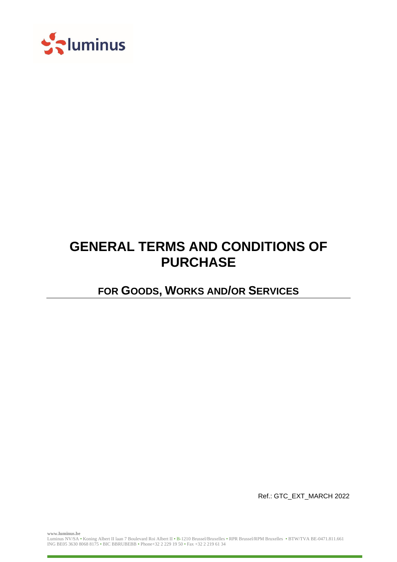

# **GENERAL TERMS AND CONDITIONS OF PURCHASE**

**FOR GOODS, WORKS AND/OR SERVICES**

Ref.: GTC\_EXT\_MARCH 2022

**www.luminus.be**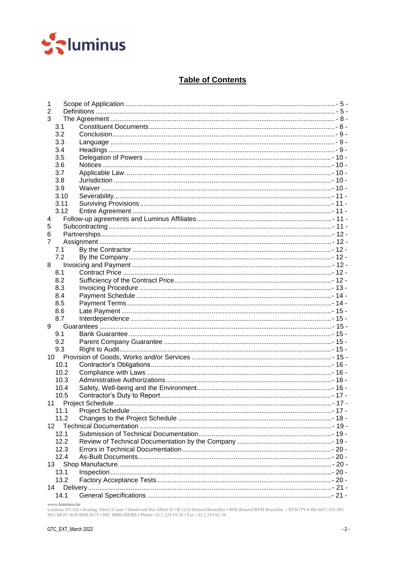

## **Table of Contents**

| 1              |                |  |  |  |
|----------------|----------------|--|--|--|
|                | $\overline{2}$ |  |  |  |
| 3              |                |  |  |  |
| 3.1            |                |  |  |  |
| 3.2            |                |  |  |  |
| 3.3            |                |  |  |  |
| 3.4            |                |  |  |  |
| 3.5            |                |  |  |  |
| 3.6            |                |  |  |  |
| 3.7            |                |  |  |  |
| 3.8            |                |  |  |  |
| 3.9            |                |  |  |  |
|                | 3.10           |  |  |  |
|                | 3.11           |  |  |  |
|                | 3.12           |  |  |  |
| 4              |                |  |  |  |
| 5              |                |  |  |  |
| 6              |                |  |  |  |
| $\overline{7}$ |                |  |  |  |
| 7.1            |                |  |  |  |
| 7.2            |                |  |  |  |
| 8              |                |  |  |  |
| 8.1            |                |  |  |  |
| 8.2            |                |  |  |  |
| 8.3            |                |  |  |  |
| 8.4            |                |  |  |  |
| 8.5            |                |  |  |  |
| 8.6            |                |  |  |  |
| 8.7            |                |  |  |  |
| 9              |                |  |  |  |
| 9.1            |                |  |  |  |
| 9.2            |                |  |  |  |
| 9.3            |                |  |  |  |
| 10             |                |  |  |  |
|                | 10.1           |  |  |  |
|                | 10.2           |  |  |  |
|                | 10.3           |  |  |  |
|                | 10.4           |  |  |  |
|                | 10.5           |  |  |  |
| 11             | 11.1           |  |  |  |
|                | 11.2           |  |  |  |
| 12             |                |  |  |  |
|                | 12.1           |  |  |  |
|                |                |  |  |  |
|                | 12.2<br>12.3   |  |  |  |
|                |                |  |  |  |
|                | 12.4           |  |  |  |
| 13<br>13.1     |                |  |  |  |
|                | 13.2           |  |  |  |
| 14             |                |  |  |  |
|                | 14.1           |  |  |  |
|                |                |  |  |  |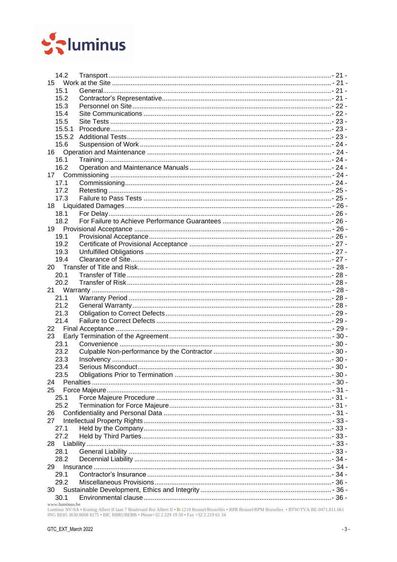

| 15         |                                                                                                                                                                                                                               |  |  |  |  |  |
|------------|-------------------------------------------------------------------------------------------------------------------------------------------------------------------------------------------------------------------------------|--|--|--|--|--|
| 15.1       |                                                                                                                                                                                                                               |  |  |  |  |  |
| 15.2       |                                                                                                                                                                                                                               |  |  |  |  |  |
| 15.3       |                                                                                                                                                                                                                               |  |  |  |  |  |
| 15.4       |                                                                                                                                                                                                                               |  |  |  |  |  |
| 15.5       |                                                                                                                                                                                                                               |  |  |  |  |  |
| 15.5.1     |                                                                                                                                                                                                                               |  |  |  |  |  |
| 15.5.2     |                                                                                                                                                                                                                               |  |  |  |  |  |
| 15.6       |                                                                                                                                                                                                                               |  |  |  |  |  |
| 16         |                                                                                                                                                                                                                               |  |  |  |  |  |
| 16.1       |                                                                                                                                                                                                                               |  |  |  |  |  |
| 16.2       |                                                                                                                                                                                                                               |  |  |  |  |  |
| 17         |                                                                                                                                                                                                                               |  |  |  |  |  |
| 17.1       |                                                                                                                                                                                                                               |  |  |  |  |  |
| 17.2       |                                                                                                                                                                                                                               |  |  |  |  |  |
| 17.3       |                                                                                                                                                                                                                               |  |  |  |  |  |
| 18         |                                                                                                                                                                                                                               |  |  |  |  |  |
| 18.1       |                                                                                                                                                                                                                               |  |  |  |  |  |
| 18.2       |                                                                                                                                                                                                                               |  |  |  |  |  |
| 19         |                                                                                                                                                                                                                               |  |  |  |  |  |
| 19.1       |                                                                                                                                                                                                                               |  |  |  |  |  |
| 19.2       |                                                                                                                                                                                                                               |  |  |  |  |  |
| 19.3       |                                                                                                                                                                                                                               |  |  |  |  |  |
| 19.4       |                                                                                                                                                                                                                               |  |  |  |  |  |
|            |                                                                                                                                                                                                                               |  |  |  |  |  |
| 20.1       |                                                                                                                                                                                                                               |  |  |  |  |  |
| 20.2       |                                                                                                                                                                                                                               |  |  |  |  |  |
|            |                                                                                                                                                                                                                               |  |  |  |  |  |
|            |                                                                                                                                                                                                                               |  |  |  |  |  |
| 21.1       |                                                                                                                                                                                                                               |  |  |  |  |  |
| 21.2       |                                                                                                                                                                                                                               |  |  |  |  |  |
| 21.3       |                                                                                                                                                                                                                               |  |  |  |  |  |
| 21.4       |                                                                                                                                                                                                                               |  |  |  |  |  |
| 22         |                                                                                                                                                                                                                               |  |  |  |  |  |
| 23         |                                                                                                                                                                                                                               |  |  |  |  |  |
| 23.1       |                                                                                                                                                                                                                               |  |  |  |  |  |
| 23.2       |                                                                                                                                                                                                                               |  |  |  |  |  |
| 23.3       |                                                                                                                                                                                                                               |  |  |  |  |  |
| 23.4       |                                                                                                                                                                                                                               |  |  |  |  |  |
| 23.5       |                                                                                                                                                                                                                               |  |  |  |  |  |
| 24         |                                                                                                                                                                                                                               |  |  |  |  |  |
| 25         |                                                                                                                                                                                                                               |  |  |  |  |  |
| 25.1       |                                                                                                                                                                                                                               |  |  |  |  |  |
| 25.2       |                                                                                                                                                                                                                               |  |  |  |  |  |
| 26         |                                                                                                                                                                                                                               |  |  |  |  |  |
| 27         |                                                                                                                                                                                                                               |  |  |  |  |  |
| 27.1       |                                                                                                                                                                                                                               |  |  |  |  |  |
| 27.2       |                                                                                                                                                                                                                               |  |  |  |  |  |
| 28         |                                                                                                                                                                                                                               |  |  |  |  |  |
| 28.1       |                                                                                                                                                                                                                               |  |  |  |  |  |
| 28.2       |                                                                                                                                                                                                                               |  |  |  |  |  |
| 29         | 1 34 - 0 34 - 0 34 - 0 34 - 0 34 - 0 34 - 0 34 - 0 34 - 0 34 - 0 34 - 0 34 - 0 34 - 0 35 - 0 35 - 0 35 - 0 35 - 0 35 - 0 35 - 0 35 - 0 35 - 0 35 - 0 35 - 0 35 - 0 35 - 0 35 - 0 35 - 0 35 - 0 35 - 0 35 - 0 35 - 0 35 - 0 35 |  |  |  |  |  |
| 29.1       |                                                                                                                                                                                                                               |  |  |  |  |  |
| 29.2       |                                                                                                                                                                                                                               |  |  |  |  |  |
| 30<br>30.1 |                                                                                                                                                                                                                               |  |  |  |  |  |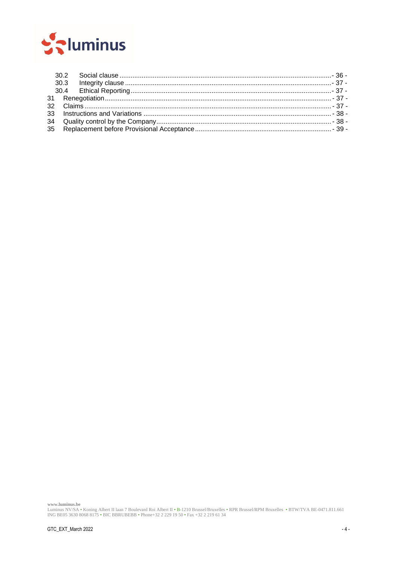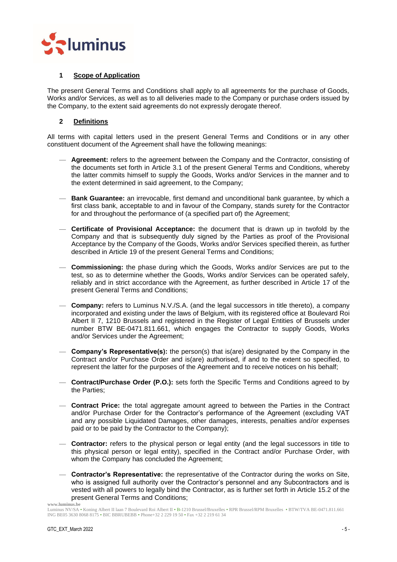

## <span id="page-4-0"></span>**1 Scope of Application**

The present General Terms and Conditions shall apply to all agreements for the purchase of Goods, Works and/or Services, as well as to all deliveries made to the Company or purchase orders issued by the Company, to the extent said agreements do not expressly derogate thereof.

## <span id="page-4-1"></span>**2 Definitions**

All terms with capital letters used in the present General Terms and Conditions or in any other constituent document of the Agreement shall have the following meanings:

- **Agreement:** refers to the agreement between the Company and the Contractor, consisting of the documents set forth in Article [3.1](#page-7-1) of the present General Terms and Conditions, whereby the latter commits himself to supply the Goods, Works and/or Services in the manner and to the extent determined in said agreement, to the Company;
- **Bank Guarantee:** an irrevocable, first demand and unconditional bank guarantee, by which a first class bank, acceptable to and in favour of the Company, stands surety for the Contractor for and throughout the performance of (a specified part of) the Agreement;
- **Certificate of Provisional Acceptance:** the document that is drawn up in twofold by the Company and that is subsequently duly signed by the Parties as proof of the Provisional Acceptance by the Company of the Goods, Works and/or Services specified therein, as further described in Article [19](#page-25-3) of the present General Terms and Conditions;
- **Commissioning:** the phase during which the Goods, Works and/or Services are put to the test, so as to determine whether the Goods, Works and/or Services can be operated safely, reliably and in strict accordance with the Agreement, as further described in Article [17](#page-23-4) of the present General Terms and Conditions;
- **Company:** refers to Luminus N.V./S.A. (and the legal successors in title thereto), a company incorporated and existing under the laws of Belgium, with its registered office at Boulevard Roi Albert II 7, 1210 Brussels and registered in the Register of Legal Entities of Brussels under number BTW BE-0471.811.661, which engages the Contractor to supply Goods, Works and/or Services under the Agreement;
- **Company's Representative(s):** the person(s) that is(are) designated by the Company in the Contract and/or Purchase Order and is(are) authorised, if and to the extent so specified, to represent the latter for the purposes of the Agreement and to receive notices on his behalf;
- **Contract/Purchase Order (P.O.):** sets forth the Specific Terms and Conditions agreed to by the Parties;
- **Contract Price:** the total aggregate amount agreed to between the Parties in the Contract and/or Purchase Order for the Contractor's performance of the Agreement (excluding VAT and any possible Liquidated Damages, other damages, interests, penalties and/or expenses paid or to be paid by the Contractor to the Company);
- **Contractor:** refers to the physical person or legal entity (and the legal successors in title to this physical person or legal entity), specified in the Contract and/or Purchase Order, with whom the Company has concluded the Agreement;
- **Contractor's Representative:** the representative of the Contractor during the works on Site, who is assigned full authority over the Contractor's personnel and any Subcontractors and is vested with all powers to legally bind the Contractor, as is further set forth in Article [15.2](#page-20-5) of the present General Terms and Conditions;

Luminus NV/SA • Koning Albert II laan 7 Boulevard Roi Albert II • B-1210 Brussel/Bruxelles • RPR Brussel/RPM Bruxelles • BTW/TVA BE-0471.811.661 ING BE05 3630 8068 8175 • BIC BBRUBEBB • Phone+32 2 229 19 50 • Fax +32 2 219 61 34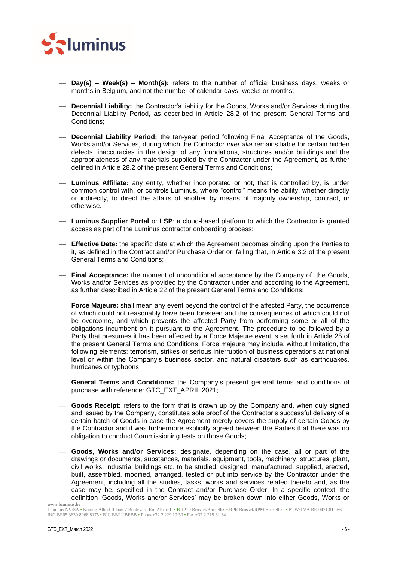

- **Day(s) – Week(s) – Month(s):** refers to the number of official business days, weeks or months in Belgium, and not the number of calendar days, weeks or months;
- **Decennial Liability:** the Contractor's liability for the Goods, Works and/or Services during the Decennial Liability Period, as described in Article [28.2](#page-33-0) of the present General Terms and Conditions;
- **Decennial Liability Period:** the ten-year period following Final Acceptance of the Goods, Works and/or Services, during which the Contractor *inter alia* remains liable for certain hidden defects, inaccuracies in the design of any foundations, structures and/or buildings and the appropriateness of any materials supplied by the Contractor under the Agreement, as further defined in Article [28.2](#page-33-0) of the present General Terms and Conditions;
- **Luminus Affiliate:** any entity, whether incorporated or not, that is controlled by, is under common control with, or controls Luminus, where "control" means the ability, whether directly or indirectly, to direct the affairs of another by means of majority ownership, contract, or otherwise.
- **Luminus Supplier Portal** or **LSP**: a cloud-based platform to which the Contractor is granted access as part of the Luminus contractor onboarding process;
- **Effective Date:** the specific date at which the Agreement becomes binding upon the Parties to it, as defined in the Contract and/or Purchase Order or, failing that, in Article [3.2](#page-8-0) of the present General Terms and Conditions;
- **Final Acceptance:** the moment of unconditional acceptance by the Company of the Goods, Works and/or Services as provided by the Contractor under and according to the Agreement, as further described in Article [22](#page-28-2) of the present General Terms and Conditions;
- **Force Majeure:** shall mean any event beyond the control of the affected Party, the occurrence of which could not reasonably have been foreseen and the consequences of which could not be overcome, and which prevents the affected Party from performing some or all of the obligations incumbent on it pursuant to the Agreement. The procedure to be followed by a Party that presumes it has been affected by a Force Majeure event is set forth in Article [25](#page-30-0) of the present General Terms and Conditions. Force majeure may include, without limitation, the following elements: terrorism, strikes or serious interruption of business operations at national level or within the Company's business sector, and natural disasters such as earthquakes, hurricanes or typhoons;
- **General Terms and Conditions:** the Company's present general terms and conditions of purchase with reference: GTC\_EXT\_APRIL 2021;
- **Goods Receipt:** refers to the form that is drawn up by the Company and, when duly signed and issued by the Company, constitutes sole proof of the Contractor's successful delivery of a certain batch of Goods in case the Agreement merely covers the supply of certain Goods by the Contractor and it was furthermore explicitly agreed between the Parties that there was no obligation to conduct Commissioning tests on those Goods;
- **www.luminus.be** — **Goods, Works and/or Services:** designate, depending on the case, all or part of the drawings or documents, substances, materials, equipment, tools, machinery, structures, plant, civil works, industrial buildings etc. to be studied, designed, manufactured, supplied, erected, built, assembled, modified, arranged, tested or put into service by the Contractor under the Agreement, including all the studies, tasks, works and services related thereto and, as the case may be, specified in the Contract and/or Purchase Order. In a specific context, the definition 'Goods, Works and/or Services' may be broken down into either Goods, Works or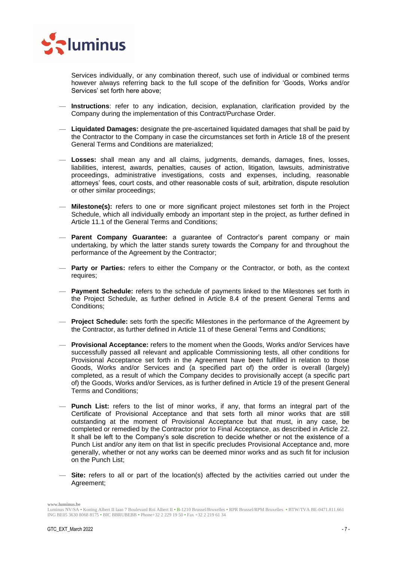

Services individually, or any combination thereof, such use of individual or combined terms however always referring back to the full scope of the definition for 'Goods, Works and/or Services' set forth here above;

- **Instructions**: refer to any indication, decision, explanation, clarification provided by the Company during the implementation of this Contract/Purchase Order.
- **Liquidated Damages:** designate the pre-ascertained liquidated damages that shall be paid by the Contractor to the Company in case the circumstances set forth in Article [18](#page-25-0) of the present General Terms and Conditions are materialized;
- **Losses:** shall mean any and all claims, judgments, demands, damages, fines, losses, liabilities, interest, awards, penalties, causes of action, litigation, lawsuits, administrative proceedings, administrative investigations, costs and expenses, including, reasonable attorneys' fees, court costs, and other reasonable costs of suit, arbitration, dispute resolution or other similar proceedings;
- **Milestone(s):** refers to one or more significant project milestones set forth in the Project Schedule, which all individually embody an important step in the project, as further defined in Article [11.1](#page-16-2) of the General Terms and Conditions;
- **Parent Company Guarantee:** a guarantee of Contractor's parent company or main undertaking, by which the latter stands surety towards the Company for and throughout the performance of the Agreement by the Contractor;
- **Party or Parties:** refers to either the Company or the Contractor, or both, as the context requires;
- **Payment Schedule:** refers to the schedule of payments linked to the Milestones set forth in the Project Schedule, as further defined in Article [8.4](#page-13-0) of the present General Terms and Conditions;
- **Project Schedule:** sets forth the specific Milestones in the performance of the Agreement by the Contractor, as further defined in Article [11](#page-16-1) of these General Terms and Conditions;
- **Provisional Acceptance:** refers to the moment when the Goods, Works and/or Services have successfully passed all relevant and applicable Commissioning tests, all other conditions for Provisional Acceptance set forth in the Agreement have been fulfilled in relation to those Goods, Works and/or Services and (a specified part of) the order is overall (largely) completed, as a result of which the Company decides to provisionally accept (a specific part of) the Goods, Works and/or Services, as is further defined in Article [19](#page-25-3) of the present General Terms and Conditions;
- **Punch List:** refers to the list of minor works, if any, that forms an integral part of the Certificate of Provisional Acceptance and that sets forth all minor works that are still outstanding at the moment of Provisional Acceptance but that must, in any case, be completed or remedied by the Contractor prior to Final Acceptance, as described in Article [22.](#page-28-2) It shall be left to the Company's sole discretion to decide whether or not the existence of a Punch List and/or any item on that list in specific precludes Provisional Acceptance and, more generally, whether or not any works can be deemed minor works and as such fit for inclusion on the Punch List;
- **Site:** refers to all or part of the location(s) affected by the activities carried out under the Agreement;

Luminus NV/SA • Koning Albert II laan 7 Boulevard Roi Albert II • B-1210 Brussel/Bruxelles • RPR Brussel/RPM Bruxelles • BTW/TVA BE-0471.811.661 ING BE05 3630 8068 8175 • BIC BBRUBEBB • Phone+32 2 229 19 50 • Fax +32 2 219 61 34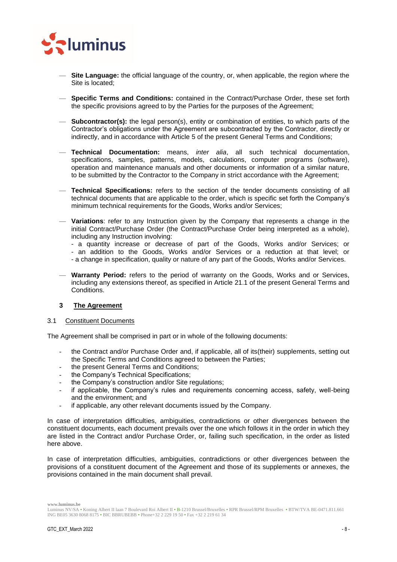

- **Site Language:** the official language of the country, or, when applicable, the region where the Site is located;
- **Specific Terms and Conditions:** contained in the Contract/Purchase Order, these set forth the specific provisions agreed to by the Parties for the purposes of the Agreement;
- **Subcontractor(s):** the legal person(s), entity or combination of entities, to which parts of the Contractor's obligations under the Agreement are subcontracted by the Contractor, directly or indirectly, and in accordance with Article [5](#page-10-4) of the present General Terms and Conditions;
- **Technical Documentation:** means, *inter alia*, all such technical documentation, specifications, samples, patterns, models, calculations, computer programs (software), operation and maintenance manuals and other documents or information of a similar nature, to be submitted by the Contractor to the Company in strict accordance with the Agreement;
- **Technical Specifications:** refers to the section of the tender documents consisting of all technical documents that are applicable to the order, which is specific set forth the Company's minimum technical requirements for the Goods, Works and/or Services;
- **Variations**: refer to any Instruction given by the Company that represents a change in the initial Contract/Purchase Order (the Contract/Purchase Order being interpreted as a whole), including any Instruction involving:
	- a quantity increase or decrease of part of the Goods, Works and/or Services; or
	- an addition to the Goods, Works and/or Services or a reduction at that level; or
	- a change in specification, quality or nature of any part of the Goods, Works and/or Services.
- **Warranty Period:** refers to the period of warranty on the Goods, Works and or Services, including any extensions thereof, as specified in Article [21.1](#page-27-4) of the present General Terms and Conditions.

## <span id="page-7-0"></span>**3 The Agreement**

#### <span id="page-7-1"></span>3.1 Constituent Documents

The Agreement shall be comprised in part or in whole of the following documents:

- the Contract and/or Purchase Order and, if applicable, all of its(their) supplements, setting out the Specific Terms and Conditions agreed to between the Parties;
- the present General Terms and Conditions;
- the Company's Technical Specifications;
- the Company's construction and/or Site regulations;
- if applicable, the Company's rules and requirements concerning access, safety, well-being and the environment; and
- if applicable, any other relevant documents issued by the Company.

In case of interpretation difficulties, ambiguities, contradictions or other divergences between the constituent documents, each document prevails over the one which follows it in the order in which they are listed in the Contract and/or Purchase Order, or, failing such specification, in the order as listed here above.

In case of interpretation difficulties, ambiguities, contradictions or other divergences between the provisions of a constituent document of the Agreement and those of its supplements or annexes, the provisions contained in the main document shall prevail.

Luminus NV/SA • Koning Albert II laan 7 Boulevard Roi Albert II • B-1210 Brussel/Bruxelles • RPR Brussel/RPM Bruxelles • BTW/TVA BE-0471.811.661 ING BE05 3630 8068 8175 • BIC BBRUBEBB • Phone+32 2 229 19 50 • Fax +32 2 219 61 34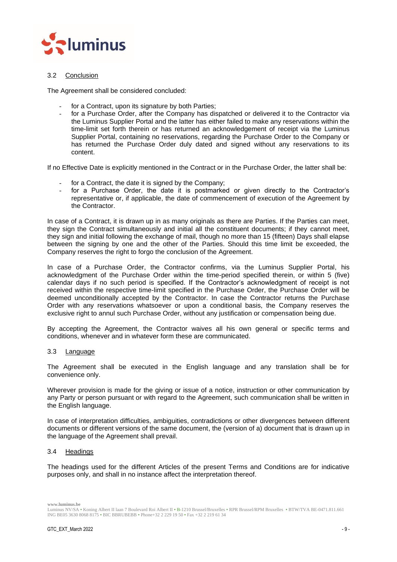

## <span id="page-8-0"></span>3.2 Conclusion

The Agreement shall be considered concluded:

- for a Contract, upon its signature by both Parties;
- for a Purchase Order, after the Company has dispatched or delivered it to the Contractor via the Luminus Supplier Portal and the latter has either failed to make any reservations within the time-limit set forth therein or has returned an acknowledgement of receipt via the Luminus Supplier Portal, containing no reservations, regarding the Purchase Order to the Company or has returned the Purchase Order duly dated and signed without any reservations to its content.

If no Effective Date is explicitly mentioned in the Contract or in the Purchase Order, the latter shall be:

- for a Contract, the date it is signed by the Company;
- for a Purchase Order, the date it is postmarked or given directly to the Contractor's representative or, if applicable, the date of commencement of execution of the Agreement by the Contractor.

In case of a Contract, it is drawn up in as many originals as there are Parties. If the Parties can meet, they sign the Contract simultaneously and initial all the constituent documents; if they cannot meet, they sign and initial following the exchange of mail, though no more than 15 (fifteen) Days shall elapse between the signing by one and the other of the Parties. Should this time limit be exceeded, the Company reserves the right to forgo the conclusion of the Agreement.

In case of a Purchase Order, the Contractor confirms, via the Luminus Supplier Portal, his acknowledgment of the Purchase Order within the time-period specified therein, or within 5 (five) calendar days if no such period is specified. If the Contractor's acknowledgment of receipt is not received within the respective time-limit specified in the Purchase Order, the Purchase Order will be deemed unconditionally accepted by the Contractor. In case the Contractor returns the Purchase Order with any reservations whatsoever or upon a conditional basis, the Company reserves the exclusive right to annul such Purchase Order, without any justification or compensation being due.

By accepting the Agreement, the Contractor waives all his own general or specific terms and conditions, whenever and in whatever form these are communicated.

#### <span id="page-8-1"></span>3.3 Language

The Agreement shall be executed in the English language and any translation shall be for convenience only.

Wherever provision is made for the giving or issue of a notice, instruction or other communication by any Party or person pursuant or with regard to the Agreement, such communication shall be written in the English language.

In case of interpretation difficulties, ambiguities, contradictions or other divergences between different documents or different versions of the same document, the (version of a) document that is drawn up in the language of the Agreement shall prevail.

#### <span id="page-8-2"></span>3.4 Headings

The headings used for the different Articles of the present Terms and Conditions are for indicative purposes only, and shall in no instance affect the interpretation thereof.

Luminus NV/SA • Koning Albert II laan 7 Boulevard Roi Albert II • B-1210 Brussel/Bruxelles • RPR Brussel/RPM Bruxelles • BTW/TVA BE-0471.811.661 ING BE05 3630 8068 8175 • BIC BBRUBEBB • Phone+32 2 229 19 50 • Fax +32 2 219 61 34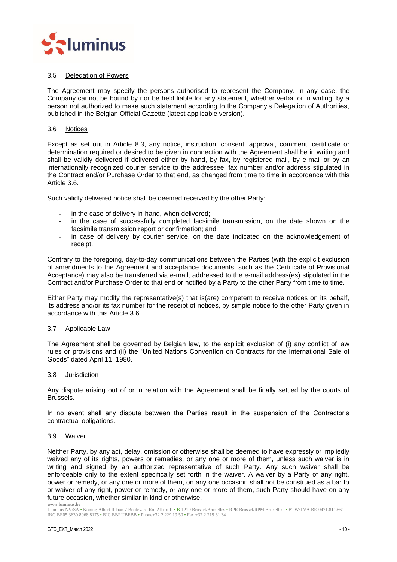

## <span id="page-9-0"></span>3.5 Delegation of Powers

The Agreement may specify the persons authorised to represent the Company. In any case, the Company cannot be bound by nor be held liable for any statement, whether verbal or in writing, by a person not authorized to make such statement according to the Company's Delegation of Authorities, published in the Belgian Official Gazette (latest applicable version).

#### <span id="page-9-1"></span>3.6 Notices

Except as set out in Article 8.3, any notice, instruction, consent, approval, comment, certificate or determination required or desired to be given in connection with the Agreement shall be in writing and shall be validly delivered if delivered either by hand, by fax, by registered mail, by e-mail or by an internationally recognized courier service to the addressee, fax number and/or address stipulated in the Contract and/or Purchase Order to that end, as changed from time to time in accordance with this Article [3.6.](#page-9-1)

Such validly delivered notice shall be deemed received by the other Party:

- in the case of delivery in-hand, when delivered;
- in the case of successfully completed facsimile transmission, on the date shown on the facsimile transmission report or confirmation; and
- in case of delivery by courier service, on the date indicated on the acknowledgement of receipt.

Contrary to the foregoing, day-to-day communications between the Parties (with the explicit exclusion of amendments to the Agreement and acceptance documents, such as the Certificate of Provisional Acceptance) may also be transferred via e-mail, addressed to the e-mail address(es) stipulated in the Contract and/or Purchase Order to that end or notified by a Party to the other Party from time to time.

Either Party may modify the representative(s) that is(are) competent to receive notices on its behalf, its address and/or its fax number for the receipt of notices, by simple notice to the other Party given in accordance with this Article [3.6.](#page-9-1)

#### <span id="page-9-2"></span>3.7 Applicable Law

The Agreement shall be governed by Belgian law, to the explicit exclusion of (i) any conflict of law rules or provisions and (ii) the "United Nations Convention on Contracts for the International Sale of Goods" dated April 11, 1980.

#### <span id="page-9-3"></span>3.8 Jurisdiction

Any dispute arising out of or in relation with the Agreement shall be finally settled by the courts of Brussels.

In no event shall any dispute between the Parties result in the suspension of the Contractor's contractual obligations.

#### <span id="page-9-4"></span>3.9 Waiver

Neither Party, by any act, delay, omission or otherwise shall be deemed to have expressly or impliedly waived any of its rights, powers or remedies, or any one or more of them, unless such waiver is in writing and signed by an authorized representative of such Party. Any such waiver shall be enforceable only to the extent specifically set forth in the waiver. A waiver by a Party of any right, power or remedy, or any one or more of them, on any one occasion shall not be construed as a bar to or waiver of any right, power or remedy, or any one or more of them, such Party should have on any future occasion, whether similar in kind or otherwise.

**www.luminus.be**

Luminus NV/SA • Koning Albert II laan 7 Boulevard Roi Albert II • B-1210 Brussel/Bruxelles • RPR Brussel/RPM Bruxelles • BTW/TVA BE-0471.811.661 ING BE05 3630 8068 8175 • BIC BBRUBEBB • Phone+32 2 229 19 50 • Fax +32 2 219 61 34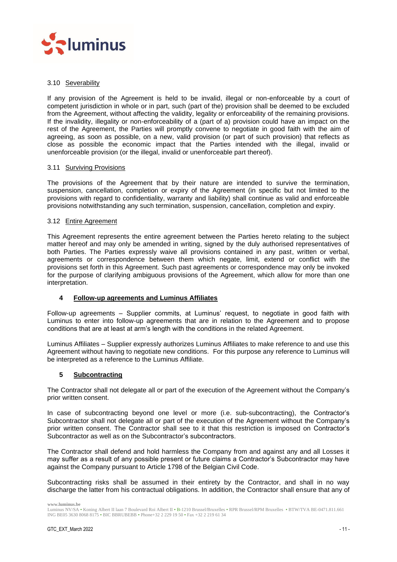

## <span id="page-10-0"></span>3.10 Severability

If any provision of the Agreement is held to be invalid, illegal or non-enforceable by a court of competent jurisdiction in whole or in part, such (part of the) provision shall be deemed to be excluded from the Agreement, without affecting the validity, legality or enforceability of the remaining provisions. If the invalidity, illegality or non-enforceability of a (part of a) provision could have an impact on the rest of the Agreement, the Parties will promptly convene to negotiate in good faith with the aim of agreeing, as soon as possible, on a new, valid provision (or part of such provision) that reflects as close as possible the economic impact that the Parties intended with the illegal, invalid or unenforceable provision (or the illegal, invalid or unenforceable part thereof).

## <span id="page-10-1"></span>3.11 Surviving Provisions

The provisions of the Agreement that by their nature are intended to survive the termination, suspension, cancellation, completion or expiry of the Agreement (in specific but not limited to the provisions with regard to confidentiality, warranty and liability) shall continue as valid and enforceable provisions notwithstanding any such termination, suspension, cancellation, completion and expiry.

## <span id="page-10-2"></span>3.12 Entire Agreement

This Agreement represents the entire agreement between the Parties hereto relating to the subject matter hereof and may only be amended in writing, signed by the duly authorised representatives of both Parties. The Parties expressly waive all provisions contained in any past, written or verbal, agreements or correspondence between them which negate, limit, extend or conflict with the provisions set forth in this Agreement. Such past agreements or correspondence may only be invoked for the purpose of clarifying ambiguous provisions of the Agreement, which allow for more than one interpretation.

## <span id="page-10-3"></span>**4 Follow-up agreements and Luminus Affiliates**

Follow-up agreements – Supplier commits, at Luminus' request, to negotiate in good faith with Luminus to enter into follow-up agreements that are in relation to the Agreement and to propose conditions that are at least at arm's length with the conditions in the related Agreement.

Luminus Affiliates – Supplier expressly authorizes Luminus Affiliates to make reference to and use this Agreement without having to negotiate new conditions. For this purpose any reference to Luminus will be interpreted as a reference to the Luminus Affiliate.

## <span id="page-10-4"></span>**5 Subcontracting**

The Contractor shall not delegate all or part of the execution of the Agreement without the Company's prior written consent.

In case of subcontracting beyond one level or more (i.e. sub-subcontracting), the Contractor's Subcontractor shall not delegate all or part of the execution of the Agreement without the Company's prior written consent. The Contractor shall see to it that this restriction is imposed on Contractor's Subcontractor as well as on the Subcontractor's subcontractors.

The Contractor shall defend and hold harmless the Company from and against any and all Losses it may suffer as a result of any possible present or future claims a Contractor's Subcontractor may have against the Company pursuant to Article 1798 of the Belgian Civil Code.

Subcontracting risks shall be assumed in their entirety by the Contractor, and shall in no way discharge the latter from his contractual obligations. In addition, the Contractor shall ensure that any of

Luminus NV/SA • Koning Albert II laan 7 Boulevard Roi Albert II • B-1210 Brussel/Bruxelles • RPR Brussel/RPM Bruxelles • BTW/TVA BE-0471.811.661 ING BE05 3630 8068 8175 • BIC BBRUBEBB • Phone+32 2 229 19 50 • Fax +32 2 219 61 34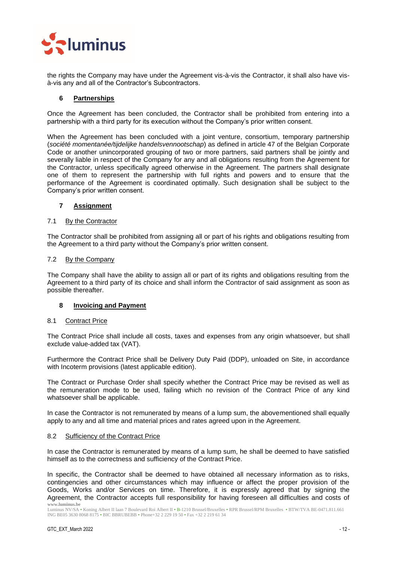

the rights the Company may have under the Agreement vis-à-vis the Contractor, it shall also have visà-vis any and all of the Contractor's Subcontractors.

## <span id="page-11-0"></span>**6 Partnerships**

Once the Agreement has been concluded, the Contractor shall be prohibited from entering into a partnership with a third party for its execution without the Company's prior written consent.

When the Agreement has been concluded with a joint venture, consortium, temporary partnership (*société momentanée/tijdelijke handelsvennootschap*) as defined in article 47 of the Belgian Corporate Code or another unincorporated grouping of two or more partners, said partners shall be jointly and severally liable in respect of the Company for any and all obligations resulting from the Agreement for the Contractor, unless specifically agreed otherwise in the Agreement. The partners shall designate one of them to represent the partnership with full rights and powers and to ensure that the performance of the Agreement is coordinated optimally. Such designation shall be subject to the Company's prior written consent.

## <span id="page-11-1"></span>**7 Assignment**

## <span id="page-11-2"></span>7.1 By the Contractor

The Contractor shall be prohibited from assigning all or part of his rights and obligations resulting from the Agreement to a third party without the Company's prior written consent.

#### <span id="page-11-3"></span>7.2 By the Company

The Company shall have the ability to assign all or part of its rights and obligations resulting from the Agreement to a third party of its choice and shall inform the Contractor of said assignment as soon as possible thereafter.

## <span id="page-11-4"></span>**8 Invoicing and Payment**

#### <span id="page-11-5"></span>8.1 Contract Price

The Contract Price shall include all costs, taxes and expenses from any origin whatsoever, but shall exclude value-added tax (VAT).

Furthermore the Contract Price shall be Delivery Duty Paid (DDP), unloaded on Site, in accordance with Incoterm provisions (latest applicable edition).

The Contract or Purchase Order shall specify whether the Contract Price may be revised as well as the remuneration mode to be used, failing which no revision of the Contract Price of any kind whatsoever shall be applicable.

In case the Contractor is not remunerated by means of a lump sum, the abovementioned shall equally apply to any and all time and material prices and rates agreed upon in the Agreement.

#### <span id="page-11-6"></span>8.2 Sufficiency of the Contract Price

In case the Contractor is remunerated by means of a lump sum, he shall be deemed to have satisfied himself as to the correctness and sufficiency of the Contract Price.

**www.luminus.be** In specific, the Contractor shall be deemed to have obtained all necessary information as to risks, contingencies and other circumstances which may influence or affect the proper provision of the Goods, Works and/or Services on time. Therefore, it is expressly agreed that by signing the Agreement, the Contractor accepts full responsibility for having foreseen all difficulties and costs of

Luminus NV/SA • Koning Albert II laan 7 Boulevard Roi Albert II • B-1210 Brussel/Bruxelles • RPR Brussel/RPM Bruxelles • BTW/TVA BE-0471.811.661 ING BE05 3630 8068 8175 • BIC BBRUBEBB • Phone+32 2 229 19 50 • Fax +32 2 219 61 34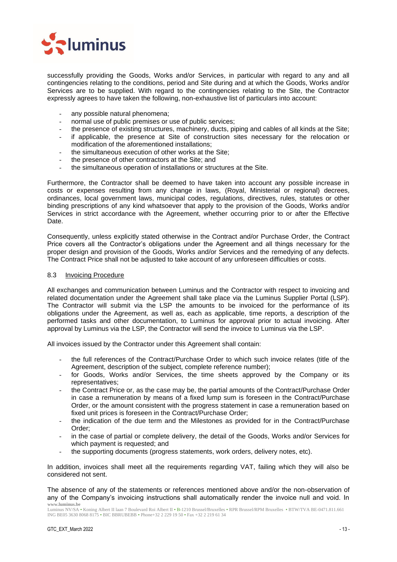

successfully providing the Goods, Works and/or Services, in particular with regard to any and all contingencies relating to the conditions, period and Site during and at which the Goods, Works and/or Services are to be supplied. With regard to the contingencies relating to the Site, the Contractor expressly agrees to have taken the following, non-exhaustive list of particulars into account:

- any possible natural phenomena;
- normal use of public premises or use of public services;
- the presence of existing structures, machinery, ducts, piping and cables of all kinds at the Site;
- if applicable, the presence at Site of construction sites necessary for the relocation or modification of the aforementioned installations;
- the simultaneous execution of other works at the Site:
- the presence of other contractors at the Site; and
- the simultaneous operation of installations or structures at the Site.

Furthermore, the Contractor shall be deemed to have taken into account any possible increase in costs or expenses resulting from any change in laws, (Royal, Ministerial or regional) decrees, ordinances, local government laws, municipal codes, regulations, directives, rules, statutes or other binding prescriptions of any kind whatsoever that apply to the provision of the Goods, Works and/or Services in strict accordance with the Agreement, whether occurring prior to or after the Effective Date.

Consequently, unless explicitly stated otherwise in the Contract and/or Purchase Order, the Contract Price covers all the Contractor's obligations under the Agreement and all things necessary for the proper design and provision of the Goods, Works and/or Services and the remedying of any defects. The Contract Price shall not be adjusted to take account of any unforeseen difficulties or costs.

## <span id="page-12-0"></span>8.3 Invoicing Procedure

All exchanges and communication between Luminus and the Contractor with respect to invoicing and related documentation under the Agreement shall take place via the Luminus Supplier Portal (LSP). The Contractor will submit via the LSP the amounts to be invoiced for the performance of its obligations under the Agreement, as well as, each as applicable, time reports, a description of the performed tasks and other documentation, to Luminus for approval prior to actual invoicing. After approval by Luminus via the LSP, the Contractor will send the invoice to Luminus via the LSP.

All invoices issued by the Contractor under this Agreement shall contain:

- the full references of the Contract/Purchase Order to which such invoice relates (title of the Agreement, description of the subject, complete reference number);
- for Goods, Works and/or Services, the time sheets approved by the Company or its representatives;
- the Contract Price or, as the case may be, the partial amounts of the Contract/Purchase Order in case a remuneration by means of a fixed lump sum is foreseen in the Contract/Purchase Order, or the amount consistent with the progress statement in case a remuneration based on fixed unit prices is foreseen in the Contract/Purchase Order;
- the indication of the due term and the Milestones as provided for in the Contract/Purchase Order;
- in the case of partial or complete delivery, the detail of the Goods, Works and/or Services for which payment is requested; and
- the supporting documents (progress statements, work orders, delivery notes, etc).

In addition, invoices shall meet all the requirements regarding VAT, failing which they will also be considered not sent.

**www.luminus.be** The absence of any of the statements or references mentioned above and/or the non-observation of any of the Company's invoicing instructions shall automatically render the invoice null and void. In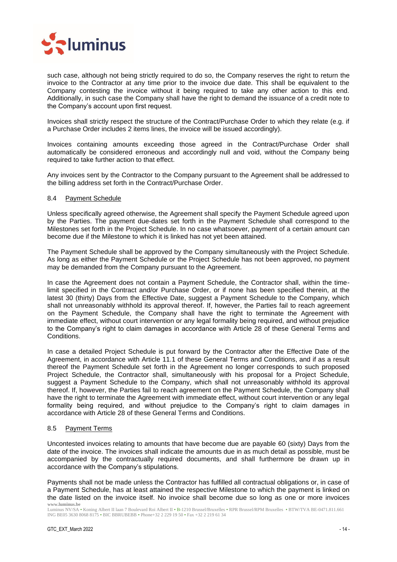

such case, although not being strictly required to do so, the Company reserves the right to return the invoice to the Contractor at any time prior to the invoice due date. This shall be equivalent to the Company contesting the invoice without it being required to take any other action to this end. Additionally, in such case the Company shall have the right to demand the issuance of a credit note to the Company's account upon first request.

Invoices shall strictly respect the structure of the Contract/Purchase Order to which they relate (e.g. if a Purchase Order includes 2 items lines, the invoice will be issued accordingly).

Invoices containing amounts exceeding those agreed in the Contract/Purchase Order shall automatically be considered erroneous and accordingly null and void, without the Company being required to take further action to that effect.

Any invoices sent by the Contractor to the Company pursuant to the Agreement shall be addressed to the billing address set forth in the Contract/Purchase Order.

#### <span id="page-13-0"></span>8.4 Payment Schedule

Unless specifically agreed otherwise, the Agreement shall specify the Payment Schedule agreed upon by the Parties. The payment due-dates set forth in the Payment Schedule shall correspond to the Milestones set forth in the Project Schedule. In no case whatsoever, payment of a certain amount can become due if the Milestone to which it is linked has not yet been attained.

The Payment Schedule shall be approved by the Company simultaneously with the Project Schedule. As long as either the Payment Schedule or the Project Schedule has not been approved, no payment may be demanded from the Company pursuant to the Agreement.

In case the Agreement does not contain a Payment Schedule, the Contractor shall, within the timelimit specified in the Contract and/or Purchase Order, or if none has been specified therein, at the latest 30 (thirty) Days from the Effective Date, suggest a Payment Schedule to the Company, which shall not unreasonably withhold its approval thereof. If, however, the Parties fail to reach agreement on the Payment Schedule, the Company shall have the right to terminate the Agreement with immediate effect, without court intervention or any legal formality being required, and without prejudice to the Company's right to claim damages in accordance with Article [28](#page-32-3) of these General Terms and Conditions.

In case a detailed Project Schedule is put forward by the Contractor after the Effective Date of the Agreement, in accordance with Article [11.1](#page-16-2) of these General Terms and Conditions, and if as a result thereof the Payment Schedule set forth in the Agreement no longer corresponds to such proposed Project Schedule, the Contractor shall, simultaneously with his proposal for a Project Schedule, suggest a Payment Schedule to the Company, which shall not unreasonably withhold its approval thereof. If, however, the Parties fail to reach agreement on the Payment Schedule, the Company shall have the right to terminate the Agreement with immediate effect, without court intervention or any legal formality being required, and without prejudice to the Company's right to claim damages in accordance with Article [28](#page-32-3) of these General Terms and Conditions.

## <span id="page-13-1"></span>8.5 Payment Terms

Uncontested invoices relating to amounts that have become due are payable 60 (sixty) Days from the date of the invoice. The invoices shall indicate the amounts due in as much detail as possible, must be accompanied by the contractually required documents, and shall furthermore be drawn up in accordance with the Company's stipulations.

**www.luminus.be** Payments shall not be made unless the Contractor has fulfilled all contractual obligations or, in case of a Payment Schedule, has at least attained the respective Milestone to which the payment is linked on the date listed on the invoice itself. No invoice shall become due so long as one or more invoices

Luminus NV/SA • Koning Albert II laan 7 Boulevard Roi Albert II • B-1210 Brussel/Bruxelles • RPR Brussel/RPM Bruxelles • BTW/TVA BE-0471.811.661 ING BE05 3630 8068 8175 • BIC BBRUBEBB • Phone+32 2 229 19 50 • Fax +32 2 219 61 34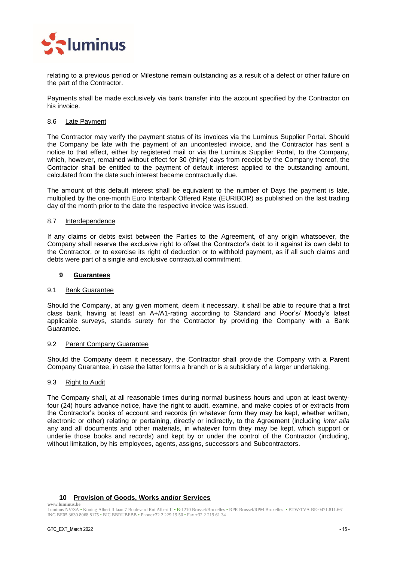

relating to a previous period or Milestone remain outstanding as a result of a defect or other failure on the part of the Contractor.

Payments shall be made exclusively via bank transfer into the account specified by the Contractor on his invoice.

## <span id="page-14-0"></span>8.6 Late Payment

The Contractor may verify the payment status of its invoices via the Luminus Supplier Portal. Should the Company be late with the payment of an uncontested invoice, and the Contractor has sent a notice to that effect, either by registered mail or via the Luminus Supplier Portal, to the Company, which, however, remained without effect for 30 (thirty) days from receipt by the Company thereof, the Contractor shall be entitled to the payment of default interest applied to the outstanding amount, calculated from the date such interest became contractually due.

The amount of this default interest shall be equivalent to the number of Days the payment is late, multiplied by the one-month Euro Interbank Offered Rate (EURIBOR) as published on the last trading day of the month prior to the date the respective invoice was issued.

#### <span id="page-14-1"></span>8.7 Interdependence

If any claims or debts exist between the Parties to the Agreement, of any origin whatsoever, the Company shall reserve the exclusive right to offset the Contractor's debt to it against its own debt to the Contractor, or to exercise its right of deduction or to withhold payment, as if all such claims and debts were part of a single and exclusive contractual commitment.

## <span id="page-14-2"></span>**9 Guarantees**

#### <span id="page-14-3"></span>9.1 Bank Guarantee

Should the Company, at any given moment, deem it necessary, it shall be able to require that a first class bank, having at least an A+/A1-rating according to Standard and Poor's/ Moody's latest applicable surveys, stands surety for the Contractor by providing the Company with a Bank Guarantee.

#### <span id="page-14-4"></span>9.2 Parent Company Guarantee

Should the Company deem it necessary, the Contractor shall provide the Company with a Parent Company Guarantee, in case the latter forms a branch or is a subsidiary of a larger undertaking.

#### <span id="page-14-5"></span>9.3 Right to Audit

The Company shall, at all reasonable times during normal business hours and upon at least twentyfour (24) hours advance notice, have the right to audit, examine, and make copies of or extracts from the Contractor's books of account and records (in whatever form they may be kept, whether written, electronic or other) relating or pertaining, directly or indirectly, to the Agreement (including *inter alia* any and all documents and other materials, in whatever form they may be kept, which support or underlie those books and records) and kept by or under the control of the Contractor (including, without limitation, by his employees, agents, assigns, successors and Subcontractors.

## **10 Provision of Goods, Works and/or Services**

<span id="page-14-6"></span>**www.luminus.be**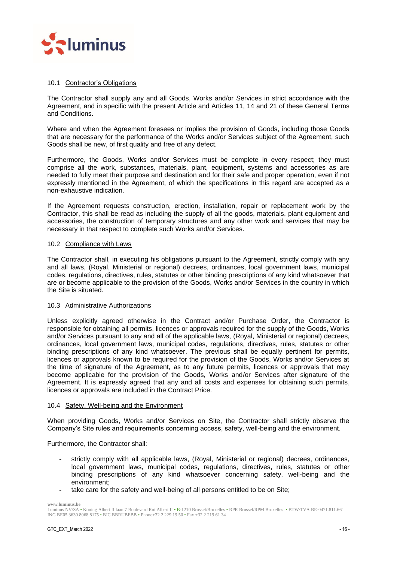

## <span id="page-15-0"></span>10.1 Contractor's Obligations

The Contractor shall supply any and all Goods, Works and/or Services in strict accordance with the Agreement, and in specific with the present Article and Articles [11,](#page-16-1) [14](#page-20-0) and [21](#page-27-3) of these General Terms and Conditions.

Where and when the Agreement foresees or implies the provision of Goods, including those Goods that are necessary for the performance of the Works and/or Services subject of the Agreement, such Goods shall be new, of first quality and free of any defect.

Furthermore, the Goods, Works and/or Services must be complete in every respect; they must comprise all the work, substances, materials, plant, equipment, systems and accessories as are needed to fully meet their purpose and destination and for their safe and proper operation, even if not expressly mentioned in the Agreement, of which the specifications in this regard are accepted as a non-exhaustive indication.

If the Agreement requests construction, erection, installation, repair or replacement work by the Contractor, this shall be read as including the supply of all the goods, materials, plant equipment and accessories, the construction of temporary structures and any other work and services that may be necessary in that respect to complete such Works and/or Services.

## <span id="page-15-1"></span>10.2 Compliance with Laws

The Contractor shall, in executing his obligations pursuant to the Agreement, strictly comply with any and all laws, (Royal, Ministerial or regional) decrees, ordinances, local government laws, municipal codes, regulations, directives, rules, statutes or other binding prescriptions of any kind whatsoever that are or become applicable to the provision of the Goods, Works and/or Services in the country in which the Site is situated.

#### <span id="page-15-2"></span>10.3 Administrative Authorizations

Unless explicitly agreed otherwise in the Contract and/or Purchase Order, the Contractor is responsible for obtaining all permits, licences or approvals required for the supply of the Goods, Works and/or Services pursuant to any and all of the applicable laws, (Royal, Ministerial or regional) decrees, ordinances, local government laws, municipal codes, regulations, directives, rules, statutes or other binding prescriptions of any kind whatsoever. The previous shall be equally pertinent for permits, licences or approvals known to be required for the provision of the Goods, Works and/or Services at the time of signature of the Agreement, as to any future permits, licences or approvals that may become applicable for the provision of the Goods, Works and/or Services after signature of the Agreement. It is expressly agreed that any and all costs and expenses for obtaining such permits, licences or approvals are included in the Contract Price.

#### <span id="page-15-3"></span>10.4 Safety, Well-being and the Environment

When providing Goods, Works and/or Services on Site, the Contractor shall strictly observe the Company's Site rules and requirements concerning access, safety, well-being and the environment.

Furthermore, the Contractor shall:

- strictly comply with all applicable laws, (Royal, Ministerial or regional) decrees, ordinances, local government laws, municipal codes, regulations, directives, rules, statutes or other binding prescriptions of any kind whatsoever concerning safety, well-being and the environment;
- take care for the safety and well-being of all persons entitled to be on Site;

**www.luminus.be**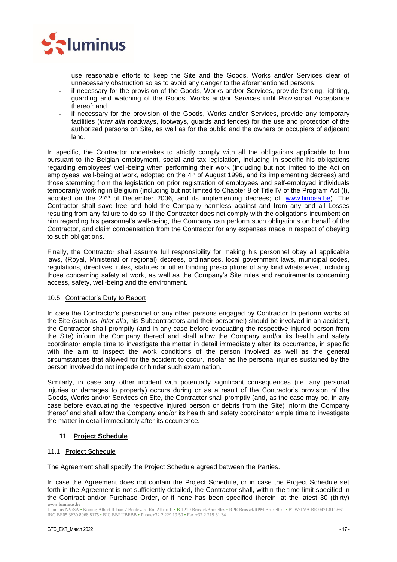

- use reasonable efforts to keep the Site and the Goods, Works and/or Services clear of unnecessary obstruction so as to avoid any danger to the aforementioned persons;
- if necessary for the provision of the Goods, Works and/or Services, provide fencing, lighting, guarding and watching of the Goods, Works and/or Services until Provisional Acceptance thereof; and
- if necessary for the provision of the Goods, Works and/or Services, provide any temporary facilities (*inter alia* roadways, footways, guards and fences) for the use and protection of the authorized persons on Site, as well as for the public and the owners or occupiers of adjacent land.

In specific, the Contractor undertakes to strictly comply with all the obligations applicable to him pursuant to the Belgian employment, social and tax legislation, including in specific his obligations regarding employees' well-being when performing their work (including but not limited to the Act on employees' well-being at work, adopted on the 4<sup>th</sup> of August 1996, and its implementing decrees) and those stemming from the legislation on prior registration of employees and self-employed individuals temporarily working in Belgium (including but not limited to Chapter 8 of Title IV of the Program Act (I), adopted on the 27th of December 2006, and its implementing decrees; cf. [www.limosa.be\)](http://www.limosa.be/). The Contractor shall save free and hold the Company harmless against and from any and all Losses resulting from any failure to do so. If the Contractor does not comply with the obligations incumbent on him regarding his personnel's well-being, the Company can perform such obligations on behalf of the Contractor, and claim compensation from the Contractor for any expenses made in respect of obeying to such obligations.

Finally, the Contractor shall assume full responsibility for making his personnel obey all applicable laws, (Royal, Ministerial or regional) decrees, ordinances, local government laws, municipal codes, regulations, directives, rules, statutes or other binding prescriptions of any kind whatsoever, including those concerning safety at work, as well as the Company's Site rules and requirements concerning access, safety, well-being and the environment.

## <span id="page-16-0"></span>10.5 Contractor's Duty to Report

In case the Contractor's personnel or any other persons engaged by Contractor to perform works at the Site (such as, *inter alia*, his Subcontractors and their personnel) should be involved in an accident, the Contractor shall promptly (and in any case before evacuating the respective injured person from the Site) inform the Company thereof and shall allow the Company and/or its health and safety coordinator ample time to investigate the matter in detail immediately after its occurrence, in specific with the aim to inspect the work conditions of the person involved as well as the general circumstances that allowed for the accident to occur, insofar as the personal injuries sustained by the person involved do not impede or hinder such examination.

Similarly, in case any other incident with potentially significant consequences (i.e. any personal injuries or damages to property) occurs during or as a result of the Contractor's provision of the Goods, Works and/or Services on Site, the Contractor shall promptly (and, as the case may be, in any case before evacuating the respective injured person or debris from the Site) inform the Company thereof and shall allow the Company and/or its health and safety coordinator ample time to investigate the matter in detail immediately after its occurrence.

## <span id="page-16-1"></span>**11 Project Schedule**

## <span id="page-16-2"></span>11.1 Project Schedule

The Agreement shall specify the Project Schedule agreed between the Parties.

**www.luminus.be** In case the Agreement does not contain the Project Schedule, or in case the Project Schedule set forth in the Agreement is not sufficiently detailed, the Contractor shall, within the time-limit specified in the Contract and/or Purchase Order, or if none has been specified therein, at the latest 30 (thirty)

Luminus NV/SA • Koning Albert II laan 7 Boulevard Roi Albert II • B-1210 Brussel/Bruxelles • RPR Brussel/RPM Bruxelles • BTW/TVA BE-0471.811.661 ING BE05 3630 8068 8175 • BIC BBRUBEBB • Phone+32 2 229 19 50 • Fax +32 2 219 61 34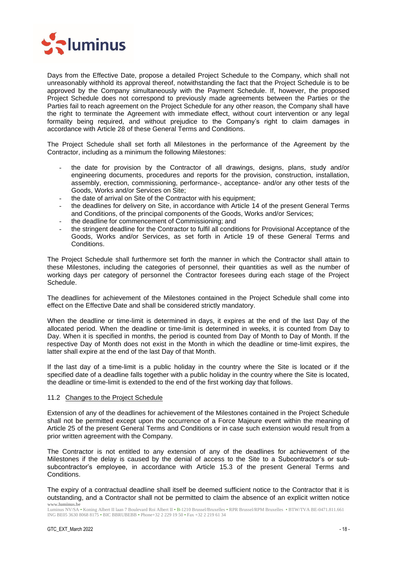

Days from the Effective Date, propose a detailed Project Schedule to the Company, which shall not unreasonably withhold its approval thereof, notwithstanding the fact that the Project Schedule is to be approved by the Company simultaneously with the Payment Schedule. If, however, the proposed Project Schedule does not correspond to previously made agreements between the Parties or the Parties fail to reach agreement on the Project Schedule for any other reason, the Company shall have the right to terminate the Agreement with immediate effect, without court intervention or any legal formality being required, and without prejudice to the Company's right to claim damages in accordance with Article [28](#page-32-3) of these General Terms and Conditions.

The Project Schedule shall set forth all Milestones in the performance of the Agreement by the Contractor, including as a minimum the following Milestones:

- the date for provision by the Contractor of all drawings, designs, plans, study and/or engineering documents, procedures and reports for the provision, construction, installation, assembly, erection, commissioning, performance-, acceptance- and/or any other tests of the Goods, Works and/or Services on Site;
- the date of arrival on Site of the Contractor with his equipment;
- the deadlines for delivery on Site, in accordance with Article [14](#page-20-0) of the present General Terms and Conditions, of the principal components of the Goods, Works and/or Services;
- the deadline for commencement of Commissioning; and
- the stringent deadline for the Contractor to fulfil all conditions for Provisional Acceptance of the Goods, Works and/or Services, as set forth in Article [19](#page-25-3) of these General Terms and Conditions.

The Project Schedule shall furthermore set forth the manner in which the Contractor shall attain to these Milestones, including the categories of personnel, their quantities as well as the number of working days per category of personnel the Contractor foresees during each stage of the Project Schedule.

The deadlines for achievement of the Milestones contained in the Project Schedule shall come into effect on the Effective Date and shall be considered strictly mandatory.

When the deadline or time-limit is determined in days, it expires at the end of the last Day of the allocated period. When the deadline or time-limit is determined in weeks, it is counted from Day to Day. When it is specified in months, the period is counted from Day of Month to Day of Month. If the respective Day of Month does not exist in the Month in which the deadline or time-limit expires, the latter shall expire at the end of the last Day of that Month.

If the last day of a time-limit is a public holiday in the country where the Site is located or if the specified date of a deadline falls together with a public holiday in the country where the Site is located, the deadline or time-limit is extended to the end of the first working day that follows.

#### <span id="page-17-0"></span>11.2 Changes to the Project Schedule

Extension of any of the deadlines for achievement of the Milestones contained in the Project Schedule shall not be permitted except upon the occurrence of a Force Majeure event within the meaning of Article [25](#page-30-0) of the present General Terms and Conditions or in case such extension would result from a prior written agreement with the Company.

The Contractor is not entitled to any extension of any of the deadlines for achievement of the Milestones if the delay is caused by the denial of access to the Site to a Subcontractor's or subsubcontractor's employee, in accordance with Article 15.3 of the present General Terms and **Conditions** 

**www.luminus.be** The expiry of a contractual deadline shall itself be deemed sufficient notice to the Contractor that it is outstanding, and a Contractor shall not be permitted to claim the absence of an explicit written notice

Luminus NV/SA • Koning Albert II laan 7 Boulevard Roi Albert II • B-1210 Brussel/Bruxelles • RPR Brussel/RPM Bruxelles • BTW/TVA BE-0471.811.661 ING BE05 3630 8068 8175 • BIC BBRUBEBB • Phone+32 2 229 19 50 • Fax +32 2 219 61 34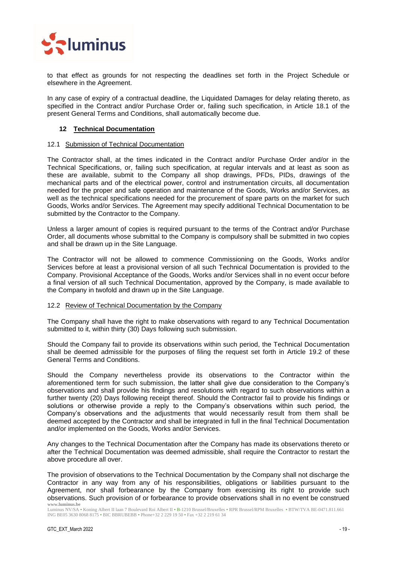

to that effect as grounds for not respecting the deadlines set forth in the Project Schedule or elsewhere in the Agreement.

In any case of expiry of a contractual deadline, the Liquidated Damages for delay relating thereto, as specified in the Contract and/or Purchase Order or, failing such specification, in Article [18.1](#page-25-1) of the present General Terms and Conditions, shall automatically become due.

## <span id="page-18-0"></span>**12 Technical Documentation**

## <span id="page-18-1"></span>12.1 Submission of Technical Documentation

The Contractor shall, at the times indicated in the Contract and/or Purchase Order and/or in the Technical Specifications, or, failing such specification, at regular intervals and at least as soon as these are available, submit to the Company all shop drawings, PFDs, PIDs, drawings of the mechanical parts and of the electrical power, control and instrumentation circuits, all documentation needed for the proper and safe operation and maintenance of the Goods, Works and/or Services, as well as the technical specifications needed for the procurement of spare parts on the market for such Goods, Works and/or Services. The Agreement may specify additional Technical Documentation to be submitted by the Contractor to the Company.

Unless a larger amount of copies is required pursuant to the terms of the Contract and/or Purchase Order, all documents whose submittal to the Company is compulsory shall be submitted in two copies and shall be drawn up in the Site Language.

The Contractor will not be allowed to commence Commissioning on the Goods, Works and/or Services before at least a provisional version of all such Technical Documentation is provided to the Company. Provisional Acceptance of the Goods, Works and/or Services shall in no event occur before a final version of all such Technical Documentation, approved by the Company, is made available to the Company in twofold and drawn up in the Site Language.

#### <span id="page-18-2"></span>12.2 Review of Technical Documentation by the Company

The Company shall have the right to make observations with regard to any Technical Documentation submitted to it, within thirty (30) Days following such submission.

Should the Company fail to provide its observations within such period, the Technical Documentation shall be deemed admissible for the purposes of filing the request set forth in Article [19.2](#page-26-0) of these General Terms and Conditions.

Should the Company nevertheless provide its observations to the Contractor within the aforementioned term for such submission, the latter shall give due consideration to the Company's observations and shall provide his findings and resolutions with regard to such observations within a further twenty (20) Days following receipt thereof. Should the Contractor fail to provide his findings or solutions or otherwise provide a reply to the Company's observations within such period, the Company's observations and the adjustments that would necessarily result from them shall be deemed accepted by the Contractor and shall be integrated in full in the final Technical Documentation and/or implemented on the Goods, Works and/or Services.

Any changes to the Technical Documentation after the Company has made its observations thereto or after the Technical Documentation was deemed admissible, shall require the Contractor to restart the above procedure all over.

**www.luminus.be** The provision of observations to the Technical Documentation by the Company shall not discharge the Contractor in any way from any of his responsibilities, obligations or liabilities pursuant to the Agreement, nor shall forbearance by the Company from exercising its right to provide such observations. Such provision of or forbearance to provide observations shall in no event be construed

Luminus NV/SA • Koning Albert II laan 7 Boulevard Roi Albert II • B-1210 Brussel/Bruxelles • RPR Brussel/RPM Bruxelles • BTW/TVA BE-0471.811.661 ING BE05 3630 8068 8175 • BIC BBRUBEBB • Phone+32 2 229 19 50 • Fax +32 2 219 61 34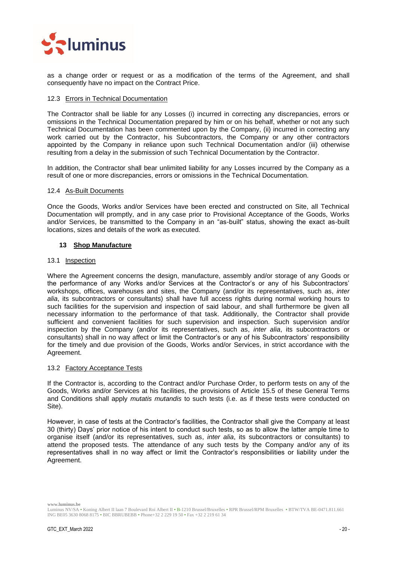

as a change order or request or as a modification of the terms of the Agreement, and shall consequently have no impact on the Contract Price.

## <span id="page-19-0"></span>12.3 Errors in Technical Documentation

The Contractor shall be liable for any Losses (i) incurred in correcting any discrepancies, errors or omissions in the Technical Documentation prepared by him or on his behalf, whether or not any such Technical Documentation has been commented upon by the Company, (ii) incurred in correcting any work carried out by the Contractor, his Subcontractors, the Company or any other contractors appointed by the Company in reliance upon such Technical Documentation and/or (iii) otherwise resulting from a delay in the submission of such Technical Documentation by the Contractor.

In addition, the Contractor shall bear unlimited liability for any Losses incurred by the Company as a result of one or more discrepancies, errors or omissions in the Technical Documentation.

#### <span id="page-19-1"></span>12.4 As-Built Documents

Once the Goods, Works and/or Services have been erected and constructed on Site, all Technical Documentation will promptly, and in any case prior to Provisional Acceptance of the Goods, Works and/or Services, be transmitted to the Company in an "as-built" status, showing the exact as-built locations, sizes and details of the work as executed.

## <span id="page-19-2"></span>**13 Shop Manufacture**

#### <span id="page-19-3"></span>13.1 Inspection

Where the Agreement concerns the design, manufacture, assembly and/or storage of any Goods or the performance of any Works and/or Services at the Contractor's or any of his Subcontractors' workshops, offices, warehouses and sites, the Company (and/or its representatives, such as, *inter alia*, its subcontractors or consultants) shall have full access rights during normal working hours to such facilities for the supervision and inspection of said labour, and shall furthermore be given all necessary information to the performance of that task. Additionally, the Contractor shall provide sufficient and convenient facilities for such supervision and inspection. Such supervision and/or inspection by the Company (and/or its representatives, such as, *inter alia*, its subcontractors or consultants) shall in no way affect or limit the Contractor's or any of his Subcontractors' responsibility for the timely and due provision of the Goods, Works and/or Services, in strict accordance with the Agreement.

## <span id="page-19-4"></span>13.2 Factory Acceptance Tests

If the Contractor is, according to the Contract and/or Purchase Order, to perform tests on any of the Goods, Works and/or Services at his facilities, the provisions of Article [15.5](#page-22-0) of these General Terms and Conditions shall apply *mutatis mutandis* to such tests (i.e. as if these tests were conducted on Site).

However, in case of tests at the Contractor's facilities, the Contractor shall give the Company at least 30 (thirty) Days' prior notice of his intent to conduct such tests, so as to allow the latter ample time to organise itself (and/or its representatives, such as, *inter alia*, its subcontractors or consultants) to attend the proposed tests. The attendance of any such tests by the Company and/or any of its representatives shall in no way affect or limit the Contractor's responsibilities or liability under the Agreement.

Luminus NV/SA • Koning Albert II laan 7 Boulevard Roi Albert II • B-1210 Brussel/Bruxelles • RPR Brussel/RPM Bruxelles • BTW/TVA BE-0471.811.661 ING BE05 3630 8068 8175 • BIC BBRUBEBB • Phone+32 2 229 19 50 • Fax +32 2 219 61 34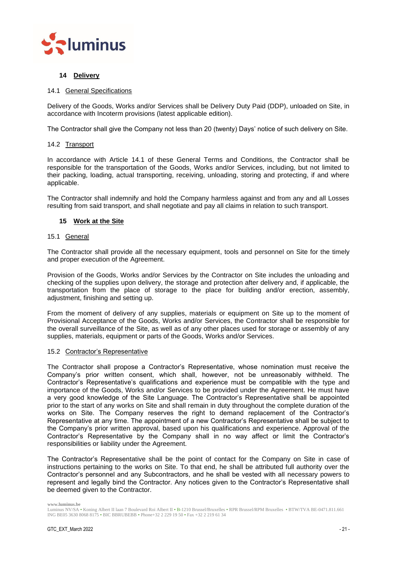

## <span id="page-20-0"></span>**14 Delivery**

## <span id="page-20-1"></span>14.1 General Specifications

Delivery of the Goods, Works and/or Services shall be Delivery Duty Paid (DDP), unloaded on Site, in accordance with Incoterm provisions (latest applicable edition).

The Contractor shall give the Company not less than 20 (twenty) Days' notice of such delivery on Site.

## <span id="page-20-2"></span>14.2 Transport

In accordance with Article [14.1](#page-20-1) of these General Terms and Conditions, the Contractor shall be responsible for the transportation of the Goods, Works and/or Services, including, but not limited to their packing, loading, actual transporting, receiving, unloading, storing and protecting, if and where applicable.

The Contractor shall indemnify and hold the Company harmless against and from any and all Losses resulting from said transport, and shall negotiate and pay all claims in relation to such transport.

## <span id="page-20-3"></span>**15 Work at the Site**

#### <span id="page-20-4"></span>15.1 General

The Contractor shall provide all the necessary equipment, tools and personnel on Site for the timely and proper execution of the Agreement.

Provision of the Goods, Works and/or Services by the Contractor on Site includes the unloading and checking of the supplies upon delivery, the storage and protection after delivery and, if applicable, the transportation from the place of storage to the place for building and/or erection, assembly, adjustment, finishing and setting up.

From the moment of delivery of any supplies, materials or equipment on Site up to the moment of Provisional Acceptance of the Goods, Works and/or Services, the Contractor shall be responsible for the overall surveillance of the Site, as well as of any other places used for storage or assembly of any supplies, materials, equipment or parts of the Goods, Works and/or Services.

#### <span id="page-20-5"></span>15.2 Contractor's Representative

The Contractor shall propose a Contractor's Representative, whose nomination must receive the Company's prior written consent, which shall, however, not be unreasonably withheld. The Contractor's Representative's qualifications and experience must be compatible with the type and importance of the Goods, Works and/or Services to be provided under the Agreement. He must have a very good knowledge of the Site Language. The Contractor's Representative shall be appointed prior to the start of any works on Site and shall remain in duty throughout the complete duration of the works on Site. The Company reserves the right to demand replacement of the Contractor's Representative at any time. The appointment of a new Contractor's Representative shall be subject to the Company's prior written approval, based upon his qualifications and experience. Approval of the Contractor's Representative by the Company shall in no way affect or limit the Contractor's responsibilities or liability under the Agreement.

The Contractor's Representative shall be the point of contact for the Company on Site in case of instructions pertaining to the works on Site. To that end, he shall be attributed full authority over the Contractor's personnel and any Subcontractors, and he shall be vested with all necessary powers to represent and legally bind the Contractor. Any notices given to the Contractor's Representative shall be deemed given to the Contractor.

Luminus NV/SA • Koning Albert II laan 7 Boulevard Roi Albert II • B-1210 Brussel/Bruxelles • RPR Brussel/RPM Bruxelles • BTW/TVA BE-0471.811.661 ING BE05 3630 8068 8175 • BIC BBRUBEBB • Phone+32 2 229 19 50 • Fax +32 2 219 61 34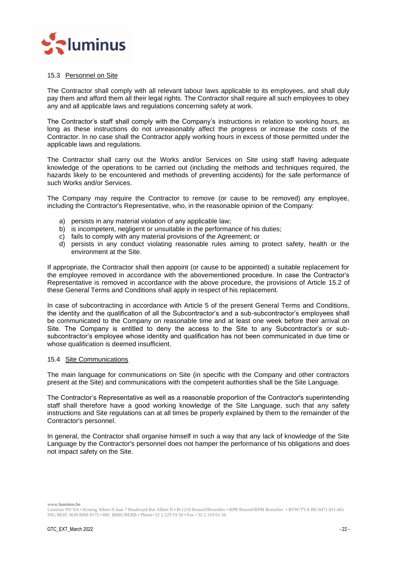

## <span id="page-21-0"></span>15.3 Personnel on Site

The Contractor shall comply with all relevant labour laws applicable to its employees, and shall duly pay them and afford them all their legal rights. The Contractor shall require all such employees to obey any and all applicable laws and regulations concerning safety at work.

The Contractor's staff shall comply with the Company's instructions in relation to working hours, as long as these instructions do not unreasonably affect the progress or increase the costs of the Contractor. In no case shall the Contractor apply working hours in excess of those permitted under the applicable laws and regulations.

The Contractor shall carry out the Works and/or Services on Site using staff having adequate knowledge of the operations to be carried out (including the methods and techniques required, the hazards likely to be encountered and methods of preventing accidents) for the safe performance of such Works and/or Services.

The Company may require the Contractor to remove (or cause to be removed) any employee, including the Contractor's Representative, who, in the reasonable opinion of the Company:

- a) persists in any material violation of any applicable law;
- b) is incompetent, negligent or unsuitable in the performance of his duties:
- c) fails to comply with any material provisions of the Agreement; or
- d) persists in any conduct violating reasonable rules aiming to protect safety, health or the environment at the Site.

If appropriate, the Contractor shall then appoint (or cause to be appointed) a suitable replacement for the employee removed in accordance with the abovementioned procedure. In case the Contractor's Representative is removed in accordance with the above procedure, the provisions of Article [15.2](#page-20-5) of these General Terms and Conditions shall apply in respect of his replacement.

In case of subcontracting in accordance with Article [5](#page-10-4) of the present General Terms and Conditions. the identity and the qualification of all the Subcontractor's and a sub-subcontractor's employees shall be communicated to the Company on reasonable time and at least one week before their arrival on Site. The Company is entitled to deny the access to the Site to any Subcontractor's or subsubcontractor's employee whose identity and qualification has not been communicated in due time or whose qualification is deemed insufficient.

#### <span id="page-21-1"></span>15.4 Site Communications

The main language for communications on Site (in specific with the Company and other contractors present at the Site) and communications with the competent authorities shall be the Site Language.

The Contractor's Representative as well as a reasonable proportion of the Contractor's superintending staff shall therefore have a good working knowledge of the Site Language, such that any safety instructions and Site regulations can at all times be properly explained by them to the remainder of the Contractor's personnel.

In general, the Contractor shall organise himself in such a way that any lack of knowledge of the Site Language by the Contractor's personnel does not hamper the performance of his obligations and does not impact safety on the Site.

Luminus NV/SA • Koning Albert II laan 7 Boulevard Roi Albert II • B-1210 Brussel/Bruxelles • RPR Brussel/RPM Bruxelles • BTW/TVA BE-0471.811.661 ING BE05 3630 8068 8175 • BIC BBRUBEBB • Phone+32 2 229 19 50 • Fax +32 2 219 61 34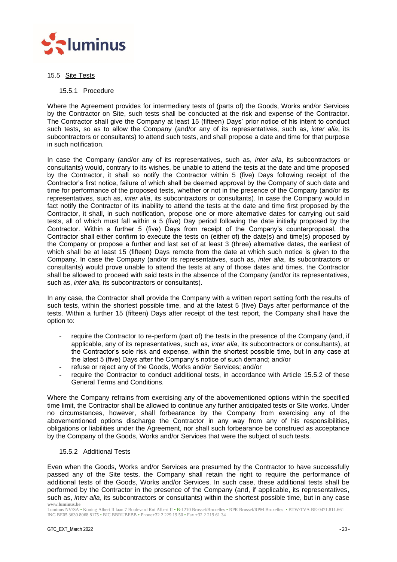

## <span id="page-22-0"></span>15.5 Site Tests

## <span id="page-22-1"></span>15.5.1 Procedure

Where the Agreement provides for intermediary tests of (parts of) the Goods, Works and/or Services by the Contractor on Site, such tests shall be conducted at the risk and expense of the Contractor. The Contractor shall give the Company at least 15 (fifteen) Days' prior notice of his intent to conduct such tests, so as to allow the Company (and/or any of its representatives, such as, *inter alia*, its subcontractors or consultants) to attend such tests, and shall propose a date and time for that purpose in such notification.

In case the Company (and/or any of its representatives, such as, *inter alia*, its subcontractors or consultants) would, contrary to its wishes, be unable to attend the tests at the date and time proposed by the Contractor, it shall so notify the Contractor within 5 (five) Days following receipt of the Contractor's first notice, failure of which shall be deemed approval by the Company of such date and time for performance of the proposed tests, whether or not in the presence of the Company (and/or its representatives, such as, *inter alia*, its subcontractors or consultants). In case the Company would in fact notify the Contractor of its inability to attend the tests at the date and time first proposed by the Contractor, it shall, in such notification, propose one or more alternative dates for carrying out said tests, all of which must fall within a 5 (five) Day period following the date initially proposed by the Contractor. Within a further 5 (five) Days from receipt of the Company's counterproposal, the Contractor shall either confirm to execute the tests on (either of) the date(s) and time(s) proposed by the Company or propose a further and last set of at least 3 (three) alternative dates, the earliest of which shall be at least 15 (fifteen) Days remote from the date at which such notice is given to the Company. In case the Company (and/or its representatives, such as, *inter alia*, its subcontractors or consultants) would prove unable to attend the tests at any of those dates and times, the Contractor shall be allowed to proceed with said tests in the absence of the Company (and/or its representatives, such as, *inter alia*, its subcontractors or consultants).

In any case, the Contractor shall provide the Company with a written report setting forth the results of such tests, within the shortest possible time, and at the latest 5 (five) Days after performance of the tests. Within a further 15 (fifteen) Days after receipt of the test report, the Company shall have the option to:

- require the Contractor to re-perform (part of) the tests in the presence of the Company (and, if applicable, any of its representatives, such as, *inter alia*, its subcontractors or consultants), at the Contractor's sole risk and expense, within the shortest possible time, but in any case at the latest 5 (five) Days after the Company's notice of such demand; and/or
- refuse or reject any of the Goods, Works and/or Services; and/or
- require the Contractor to conduct additional tests, in accordance with Article [15.5.2](#page-22-2) of these General Terms and Conditions.

Where the Company refrains from exercising any of the abovementioned options within the specified time limit, the Contractor shall be allowed to continue any further anticipated tests or Site works. Under no circumstances, however, shall forbearance by the Company from exercising any of the abovementioned options discharge the Contractor in any way from any of his responsibilities, obligations or liabilities under the Agreement, nor shall such forbearance be construed as acceptance by the Company of the Goods, Works and/or Services that were the subject of such tests.

## <span id="page-22-2"></span>15.5.2 Additional Tests

**www.luminus.be** Even when the Goods, Works and/or Services are presumed by the Contractor to have successfully passed any of the Site tests, the Company shall retain the right to require the performance of additional tests of the Goods, Works and/or Services. In such case, these additional tests shall be performed by the Contractor in the presence of the Company (and, if applicable, its representatives, such as, *inter alia*, its subcontractors or consultants) within the shortest possible time, but in any case

Luminus NV/SA • Koning Albert II laan 7 Boulevard Roi Albert II • B-1210 Brussel/Bruxelles • RPR Brussel/RPM Bruxelles • BTW/TVA BE-0471.811.661 ING BE05 3630 8068 8175 • BIC BBRUBEBB • Phone+32 2 229 19 50 • Fax +32 2 219 61 34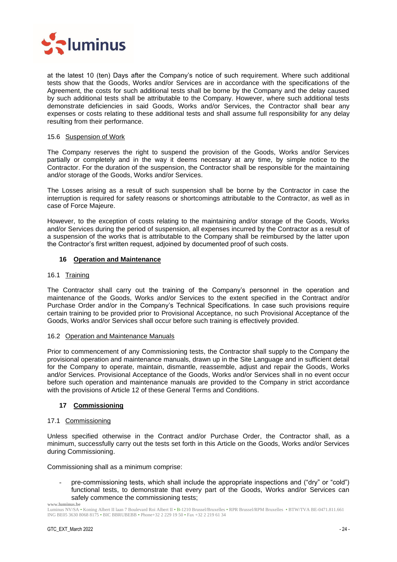

at the latest 10 (ten) Days after the Company's notice of such requirement. Where such additional tests show that the Goods, Works and/or Services are in accordance with the specifications of the Agreement, the costs for such additional tests shall be borne by the Company and the delay caused by such additional tests shall be attributable to the Company. However, where such additional tests demonstrate deficiencies in said Goods, Works and/or Services, the Contractor shall bear any expenses or costs relating to these additional tests and shall assume full responsibility for any delay resulting from their performance.

## <span id="page-23-0"></span>15.6 Suspension of Work

The Company reserves the right to suspend the provision of the Goods, Works and/or Services partially or completely and in the way it deems necessary at any time, by simple notice to the Contractor. For the duration of the suspension, the Contractor shall be responsible for the maintaining and/or storage of the Goods, Works and/or Services.

The Losses arising as a result of such suspension shall be borne by the Contractor in case the interruption is required for safety reasons or shortcomings attributable to the Contractor, as well as in case of Force Majeure.

However, to the exception of costs relating to the maintaining and/or storage of the Goods, Works and/or Services during the period of suspension, all expenses incurred by the Contractor as a result of a suspension of the works that is attributable to the Company shall be reimbursed by the latter upon the Contractor's first written request, adjoined by documented proof of such costs.

## <span id="page-23-1"></span>**16 Operation and Maintenance**

## <span id="page-23-2"></span>16.1 Training

The Contractor shall carry out the training of the Company's personnel in the operation and maintenance of the Goods, Works and/or Services to the extent specified in the Contract and/or Purchase Order and/or in the Company's Technical Specifications. In case such provisions require certain training to be provided prior to Provisional Acceptance, no such Provisional Acceptance of the Goods, Works and/or Services shall occur before such training is effectively provided.

#### <span id="page-23-3"></span>16.2 Operation and Maintenance Manuals

Prior to commencement of any Commissioning tests, the Contractor shall supply to the Company the provisional operation and maintenance manuals, drawn up in the Site Language and in sufficient detail for the Company to operate, maintain, dismantle, reassemble, adjust and repair the Goods, Works and/or Services. Provisional Acceptance of the Goods, Works and/or Services shall in no event occur before such operation and maintenance manuals are provided to the Company in strict accordance with the provisions of Article [12](#page-18-0) of these General Terms and Conditions.

## <span id="page-23-4"></span>**17 Commissioning**

#### <span id="page-23-5"></span>17.1 Commissioning

Unless specified otherwise in the Contract and/or Purchase Order, the Contractor shall, as a minimum, successfully carry out the tests set forth in this Article on the Goods, Works and/or Services during Commissioning.

Commissioning shall as a minimum comprise:

pre-commissioning tests, which shall include the appropriate inspections and ("dry" or "cold") functional tests, to demonstrate that every part of the Goods, Works and/or Services can safely commence the commissioning tests;

**www.luminus.be**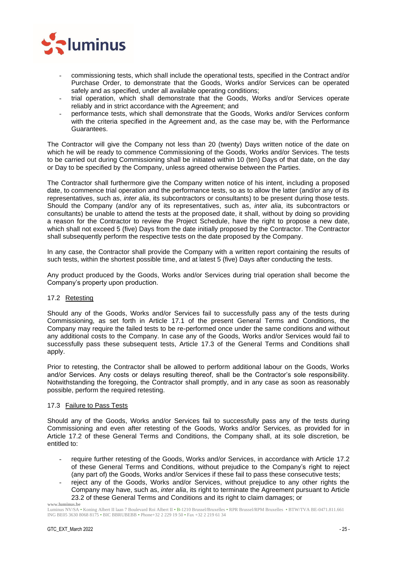

- commissioning tests, which shall include the operational tests, specified in the Contract and/or Purchase Order, to demonstrate that the Goods, Works and/or Services can be operated safely and as specified, under all available operating conditions;
- trial operation, which shall demonstrate that the Goods, Works and/or Services operate reliably and in strict accordance with the Agreement; and
- performance tests, which shall demonstrate that the Goods, Works and/or Services conform with the criteria specified in the Agreement and, as the case may be, with the Performance Guarantees.

The Contractor will give the Company not less than 20 (twenty) Days written notice of the date on which he will be ready to commence Commissioning of the Goods, Works and/or Services. The tests to be carried out during Commissioning shall be initiated within 10 (ten) Days of that date, on the day or Day to be specified by the Company, unless agreed otherwise between the Parties.

The Contractor shall furthermore give the Company written notice of his intent, including a proposed date, to commence trial operation and the performance tests, so as to allow the latter (and/or any of its representatives, such as, *inter alia*, its subcontractors or consultants) to be present during those tests. Should the Company (and/or any of its representatives, such as, *inter alia*, its subcontractors or consultants) be unable to attend the tests at the proposed date, it shall, without by doing so providing a reason for the Contractor to review the Project Schedule, have the right to propose a new date, which shall not exceed 5 (five) Days from the date initially proposed by the Contractor. The Contractor shall subsequently perform the respective tests on the date proposed by the Company.

In any case, the Contractor shall provide the Company with a written report containing the results of such tests, within the shortest possible time, and at latest 5 (five) Days after conducting the tests.

Any product produced by the Goods, Works and/or Services during trial operation shall become the Company's property upon production.

## <span id="page-24-0"></span>17.2 Retesting

Should any of the Goods, Works and/or Services fail to successfully pass any of the tests during Commissioning, as set forth in Article [17.1](#page-23-5) of the present General Terms and Conditions, the Company may require the failed tests to be re-performed once under the same conditions and without any additional costs to the Company. In case any of the Goods, Works and/or Services would fail to successfully pass these subsequent tests, Article [17.3](#page-24-1) of the General Terms and Conditions shall apply.

Prior to retesting, the Contractor shall be allowed to perform additional labour on the Goods, Works and/or Services. Any costs or delays resulting thereof, shall be the Contractor's sole responsibility. Notwithstanding the foregoing, the Contractor shall promptly, and in any case as soon as reasonably possible, perform the required retesting.

#### <span id="page-24-1"></span>17.3 Failure to Pass Tests

Should any of the Goods, Works and/or Services fail to successfully pass any of the tests during Commissioning and even after retesting of the Goods, Works and/or Services, as provided for in Article [17.2](#page-24-0) of these General Terms and Conditions, the Company shall, at its sole discretion, be entitled to:

- require further retesting of the Goods, Works and/or Services, in accordance with Article [17.2](#page-24-0) of these General Terms and Conditions, without prejudice to the Company's right to reject (any part of) the Goods, Works and/or Services if these fail to pass these consecutive tests;
- reject any of the Goods, Works and/or Services, without prejudice to any other rights the Company may have, such as, *inter alia*, its right to terminate the Agreement pursuant to Article [23.2](#page-29-2) of these General Terms and Conditions and its right to claim damages; or

**www.luminus.be**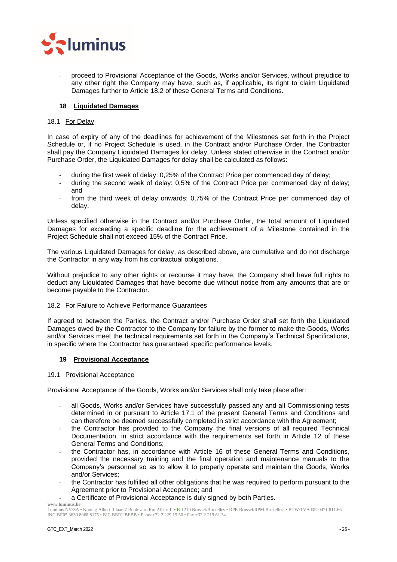

- proceed to Provisional Acceptance of the Goods, Works and/or Services, without prejudice to any other right the Company may have, such as, if applicable, its right to claim Liquidated Damages further to Article [18.2](#page-25-2) of these General Terms and Conditions.

## <span id="page-25-0"></span>**18 Liquidated Damages**

## <span id="page-25-1"></span>18.1 For Delay

In case of expiry of any of the deadlines for achievement of the Milestones set forth in the Project Schedule or, if no Project Schedule is used, in the Contract and/or Purchase Order, the Contractor shall pay the Company Liquidated Damages for delay. Unless stated otherwise in the Contract and/or Purchase Order, the Liquidated Damages for delay shall be calculated as follows:

- during the first week of delay: 0,25% of the Contract Price per commenced day of delay;
- during the second week of delay: 0,5% of the Contract Price per commenced day of delay; and
- from the third week of delay onwards: 0,75% of the Contract Price per commenced day of delay.

Unless specified otherwise in the Contract and/or Purchase Order, the total amount of Liquidated Damages for exceeding a specific deadline for the achievement of a Milestone contained in the Project Schedule shall not exceed 15% of the Contract Price.

The various Liquidated Damages for delay, as described above, are cumulative and do not discharge the Contractor in any way from his contractual obligations.

Without prejudice to any other rights or recourse it may have, the Company shall have full rights to deduct any Liquidated Damages that have become due without notice from any amounts that are or become payable to the Contractor.

## <span id="page-25-2"></span>18.2 For Failure to Achieve Performance Guarantees

If agreed to between the Parties, the Contract and/or Purchase Order shall set forth the Liquidated Damages owed by the Contractor to the Company for failure by the former to make the Goods, Works and/or Services meet the technical requirements set forth in the Company's Technical Specifications, in specific where the Contractor has guaranteed specific performance levels.

## <span id="page-25-3"></span>**19 Provisional Acceptance**

## <span id="page-25-4"></span>19.1 Provisional Acceptance

Provisional Acceptance of the Goods, Works and/or Services shall only take place after:

- all Goods, Works and/or Services have successfully passed any and all Commissioning tests determined in or pursuant to Article [17.1](#page-23-5) of the present General Terms and Conditions and can therefore be deemed successfully completed in strict accordance with the Agreement;
- the Contractor has provided to the Company the final versions of all required Technical Documentation, in strict accordance with the requirements set forth in Article [12](#page-18-0) of these General Terms and Conditions;
- the Contractor has, in accordance with Article [16](#page-23-1) of these General Terms and Conditions, provided the necessary training and the final operation and maintenance manuals to the Company's personnel so as to allow it to properly operate and maintain the Goods, Works and/or Services;
- the Contractor has fulfilled all other obligations that he was required to perform pursuant to the Agreement prior to Provisional Acceptance; and
- a Certificate of Provisional Acceptance is duly signed by both Parties.

**www.luminus.be**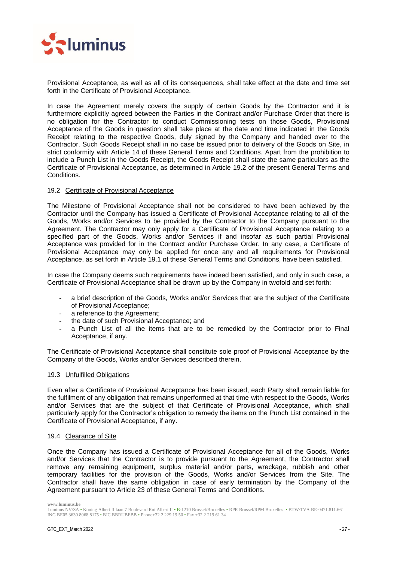

Provisional Acceptance, as well as all of its consequences, shall take effect at the date and time set forth in the Certificate of Provisional Acceptance.

In case the Agreement merely covers the supply of certain Goods by the Contractor and it is furthermore explicitly agreed between the Parties in the Contract and/or Purchase Order that there is no obligation for the Contractor to conduct Commissioning tests on those Goods, Provisional Acceptance of the Goods in question shall take place at the date and time indicated in the Goods Receipt relating to the respective Goods, duly signed by the Company and handed over to the Contractor. Such Goods Receipt shall in no case be issued prior to delivery of the Goods on Site, in strict conformity with Article [14](#page-20-0) of these General Terms and Conditions. Apart from the prohibition to include a Punch List in the Goods Receipt, the Goods Receipt shall state the same particulars as the Certificate of Provisional Acceptance, as determined in Article [19.2](#page-26-0) of the present General Terms and Conditions.

## <span id="page-26-0"></span>19.2 Certificate of Provisional Acceptance

The Milestone of Provisional Acceptance shall not be considered to have been achieved by the Contractor until the Company has issued a Certificate of Provisional Acceptance relating to all of the Goods, Works and/or Services to be provided by the Contractor to the Company pursuant to the Agreement. The Contractor may only apply for a Certificate of Provisional Acceptance relating to a specified part of the Goods, Works and/or Services if and insofar as such partial Provisional Acceptance was provided for in the Contract and/or Purchase Order. In any case, a Certificate of Provisional Acceptance may only be applied for once any and all requirements for Provisional Acceptance, as set forth in Article [19.1](#page-25-4) of these General Terms and Conditions, have been satisfied.

In case the Company deems such requirements have indeed been satisfied, and only in such case, a Certificate of Provisional Acceptance shall be drawn up by the Company in twofold and set forth:

- a brief description of the Goods, Works and/or Services that are the subject of the Certificate of Provisional Acceptance;
- a reference to the Agreement:
- the date of such Provisional Acceptance; and
- a Punch List of all the items that are to be remedied by the Contractor prior to Final Acceptance, if any.

The Certificate of Provisional Acceptance shall constitute sole proof of Provisional Acceptance by the Company of the Goods, Works and/or Services described therein.

#### <span id="page-26-1"></span>19.3 Unfulfilled Obligations

Even after a Certificate of Provisional Acceptance has been issued, each Party shall remain liable for the fulfilment of any obligation that remains unperformed at that time with respect to the Goods, Works and/or Services that are the subject of that Certificate of Provisional Acceptance, which shall particularly apply for the Contractor's obligation to remedy the items on the Punch List contained in the Certificate of Provisional Acceptance, if any.

#### <span id="page-26-2"></span>19.4 Clearance of Site

Once the Company has issued a Certificate of Provisional Acceptance for all of the Goods, Works and/or Services that the Contractor is to provide pursuant to the Agreement, the Contractor shall remove any remaining equipment, surplus material and/or parts, wreckage, rubbish and other temporary facilities for the provision of the Goods, Works and/or Services from the Site. The Contractor shall have the same obligation in case of early termination by the Company of the Agreement pursuant to Article [23](#page-29-0) of these General Terms and Conditions.

Luminus NV/SA • Koning Albert II laan 7 Boulevard Roi Albert II • B-1210 Brussel/Bruxelles • RPR Brussel/RPM Bruxelles • BTW/TVA BE-0471.811.661 ING BE05 3630 8068 8175 • BIC BBRUBEBB • Phone+32 2 229 19 50 • Fax +32 2 219 61 34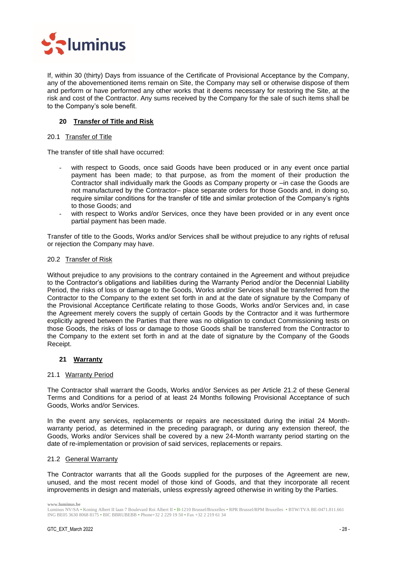

If, within 30 (thirty) Days from issuance of the Certificate of Provisional Acceptance by the Company, any of the abovementioned items remain on Site, the Company may sell or otherwise dispose of them and perform or have performed any other works that it deems necessary for restoring the Site, at the risk and cost of the Contractor. Any sums received by the Company for the sale of such items shall be to the Company's sole benefit.

## <span id="page-27-0"></span>**20 Transfer of Title and Risk**

## <span id="page-27-1"></span>20.1 Transfer of Title

The transfer of title shall have occurred:

- with respect to Goods, once said Goods have been produced or in any event once partial payment has been made; to that purpose, as from the moment of their production the Contractor shall individually mark the Goods as Company property or –in case the Goods are not manufactured by the Contractor– place separate orders for those Goods and, in doing so, require similar conditions for the transfer of title and similar protection of the Company's rights to those Goods; and
- with respect to Works and/or Services, once they have been provided or in any event once partial payment has been made.

Transfer of title to the Goods, Works and/or Services shall be without prejudice to any rights of refusal or rejection the Company may have.

#### <span id="page-27-2"></span>20.2 Transfer of Risk

Without prejudice to any provisions to the contrary contained in the Agreement and without prejudice to the Contractor's obligations and liabilities during the Warranty Period and/or the Decennial Liability Period, the risks of loss or damage to the Goods, Works and/or Services shall be transferred from the Contractor to the Company to the extent set forth in and at the date of signature by the Company of the Provisional Acceptance Certificate relating to those Goods, Works and/or Services and, in case the Agreement merely covers the supply of certain Goods by the Contractor and it was furthermore explicitly agreed between the Parties that there was no obligation to conduct Commissioning tests on those Goods, the risks of loss or damage to those Goods shall be transferred from the Contractor to the Company to the extent set forth in and at the date of signature by the Company of the Goods Receipt.

## <span id="page-27-3"></span>**21 Warranty**

#### <span id="page-27-4"></span>21.1 Warranty Period

The Contractor shall warrant the Goods, Works and/or Services as per Article [21.2](#page-27-5) of these General Terms and Conditions for a period of at least 24 Months following Provisional Acceptance of such Goods, Works and/or Services.

In the event any services, replacements or repairs are necessitated during the initial 24 Monthwarranty period, as determined in the preceding paragraph, or during any extension thereof, the Goods, Works and/or Services shall be covered by a new 24-Month warranty period starting on the date of re-implementation or provision of said services, replacements or repairs.

## <span id="page-27-5"></span>21.2 General Warranty

The Contractor warrants that all the Goods supplied for the purposes of the Agreement are new, unused, and the most recent model of those kind of Goods, and that they incorporate all recent improvements in design and materials, unless expressly agreed otherwise in writing by the Parties.

Luminus NV/SA • Koning Albert II laan 7 Boulevard Roi Albert II • B-1210 Brussel/Bruxelles • RPR Brussel/RPM Bruxelles • BTW/TVA BE-0471.811.661 ING BE05 3630 8068 8175 • BIC BBRUBEBB • Phone+32 2 229 19 50 • Fax +32 2 219 61 34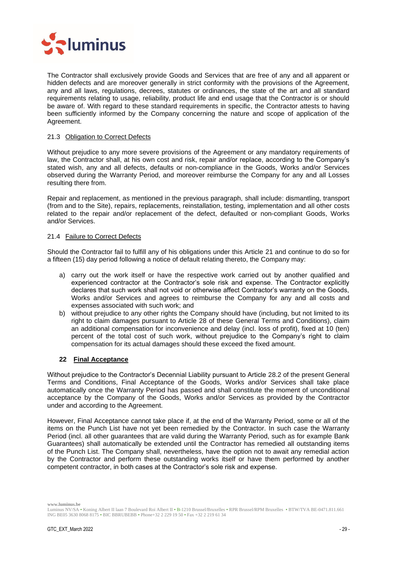

The Contractor shall exclusively provide Goods and Services that are free of any and all apparent or hidden defects and are moreover generally in strict conformity with the provisions of the Agreement, any and all laws, regulations, decrees, statutes or ordinances, the state of the art and all standard requirements relating to usage, reliability, product life and end usage that the Contractor is or should be aware of. With regard to these standard requirements in specific, the Contractor attests to having been sufficiently informed by the Company concerning the nature and scope of application of the Agreement.

## <span id="page-28-0"></span>21.3 Obligation to Correct Defects

Without prejudice to any more severe provisions of the Agreement or any mandatory requirements of law, the Contractor shall, at his own cost and risk, repair and/or replace, according to the Company's stated wish, any and all defects, defaults or non-compliance in the Goods, Works and/or Services observed during the Warranty Period, and moreover reimburse the Company for any and all Losses resulting there from.

Repair and replacement, as mentioned in the previous paragraph, shall include: dismantling, transport (from and to the Site), repairs, replacements, reinstallation, testing, implementation and all other costs related to the repair and/or replacement of the defect, defaulted or non-compliant Goods, Works and/or Services.

## <span id="page-28-1"></span>21.4 Failure to Correct Defects

Should the Contractor fail to fulfill any of his obligations under this Article [21](#page-27-3) and continue to do so for a fifteen (15) day period following a notice of default relating thereto, the Company may:

- a) carry out the work itself or have the respective work carried out by another qualified and experienced contractor at the Contractor's sole risk and expense. The Contractor explicitly declares that such work shall not void or otherwise affect Contractor's warranty on the Goods, Works and/or Services and agrees to reimburse the Company for any and all costs and expenses associated with such work; and
- b) without prejudice to any other rights the Company should have (including, but not limited to its right to claim damages pursuant to Article [28](#page-32-3) of these General Terms and Conditions), claim an additional compensation for inconvenience and delay (incl. loss of profit), fixed at 10 (ten) percent of the total cost of such work, without prejudice to the Company's right to claim compensation for its actual damages should these exceed the fixed amount.

## <span id="page-28-2"></span>**22 Final Acceptance**

Without prejudice to the Contractor's Decennial Liability pursuant to Article [28.2](#page-33-0) of the present General Terms and Conditions, Final Acceptance of the Goods, Works and/or Services shall take place automatically once the Warranty Period has passed and shall constitute the moment of unconditional acceptance by the Company of the Goods, Works and/or Services as provided by the Contractor under and according to the Agreement.

However, Final Acceptance cannot take place if, at the end of the Warranty Period, some or all of the items on the Punch List have not yet been remedied by the Contractor. In such case the Warranty Period (incl. all other guarantees that are valid during the Warranty Period, such as for example Bank Guarantees) shall automatically be extended until the Contractor has remedied all outstanding items of the Punch List. The Company shall, nevertheless, have the option not to await any remedial action by the Contractor and perform these outstanding works itself or have them performed by another competent contractor, in both cases at the Contractor's sole risk and expense.

Luminus NV/SA • Koning Albert II laan 7 Boulevard Roi Albert II • B-1210 Brussel/Bruxelles • RPR Brussel/RPM Bruxelles • BTW/TVA BE-0471.811.661 ING BE05 3630 8068 8175 • BIC BBRUBEBB • Phone+32 2 229 19 50 • Fax +32 2 219 61 34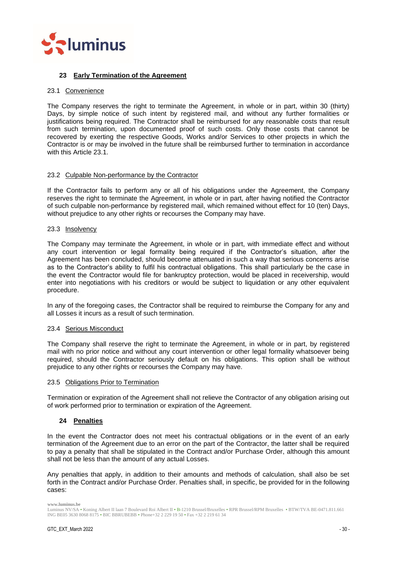

## <span id="page-29-0"></span>**23 Early Termination of the Agreement**

## <span id="page-29-1"></span>23.1 Convenience

The Company reserves the right to terminate the Agreement, in whole or in part, within 30 (thirty) Days, by simple notice of such intent by registered mail, and without any further formalities or justifications being required. The Contractor shall be reimbursed for any reasonable costs that result from such termination, upon documented proof of such costs. Only those costs that cannot be recovered by exerting the respective Goods, Works and/or Services to other projects in which the Contractor is or may be involved in the future shall be reimbursed further to termination in accordance with this Article [23.1.](#page-29-1)

## <span id="page-29-2"></span>23.2 Culpable Non-performance by the Contractor

If the Contractor fails to perform any or all of his obligations under the Agreement, the Company reserves the right to terminate the Agreement, in whole or in part, after having notified the Contractor of such culpable non-performance by registered mail, which remained without effect for 10 (ten) Days, without prejudice to any other rights or recourses the Company may have.

## <span id="page-29-3"></span>23.3 Insolvency

The Company may terminate the Agreement, in whole or in part, with immediate effect and without any court intervention or legal formality being required if the Contractor's situation, after the Agreement has been concluded, should become attenuated in such a way that serious concerns arise as to the Contractor's ability to fulfil his contractual obligations. This shall particularly be the case in the event the Contractor would file for bankruptcy protection, would be placed in receivership, would enter into negotiations with his creditors or would be subject to liquidation or any other equivalent procedure.

In any of the foregoing cases, the Contractor shall be required to reimburse the Company for any and all Losses it incurs as a result of such termination.

## <span id="page-29-4"></span>23.4 Serious Misconduct

The Company shall reserve the right to terminate the Agreement, in whole or in part, by registered mail with no prior notice and without any court intervention or other legal formality whatsoever being required, should the Contractor seriously default on his obligations. This option shall be without prejudice to any other rights or recourses the Company may have.

## <span id="page-29-5"></span>23.5 Obligations Prior to Termination

Termination or expiration of the Agreement shall not relieve the Contractor of any obligation arising out of work performed prior to termination or expiration of the Agreement.

## <span id="page-29-6"></span>**24 Penalties**

In the event the Contractor does not meet his contractual obligations or in the event of an early termination of the Agreement due to an error on the part of the Contractor, the latter shall be required to pay a penalty that shall be stipulated in the Contract and/or Purchase Order, although this amount shall not be less than the amount of any actual Losses.

Any penalties that apply, in addition to their amounts and methods of calculation, shall also be set forth in the Contract and/or Purchase Order. Penalties shall, in specific, be provided for in the following cases:

Luminus NV/SA • Koning Albert II laan 7 Boulevard Roi Albert II • B-1210 Brussel/Bruxelles • RPR Brussel/RPM Bruxelles • BTW/TVA BE-0471.811.661 ING BE05 3630 8068 8175 • BIC BBRUBEBB • Phone+32 2 229 19 50 • Fax +32 2 219 61 34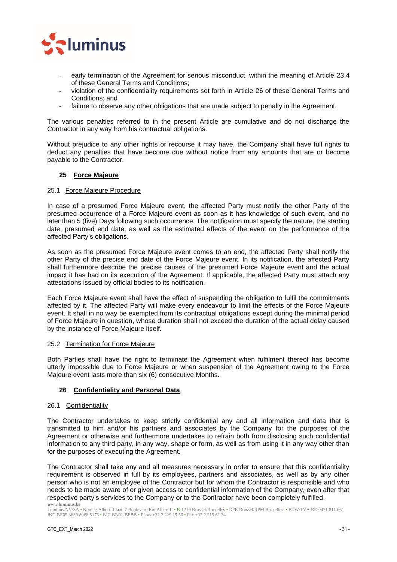

- early termination of the Agreement for serious misconduct, within the meaning of Article [23.4](#page-29-4) of these General Terms and Conditions;
- violation of the confidentiality requirements set forth in Article [26](#page-30-3) of these General Terms and Conditions; and
- failure to observe any other obligations that are made subject to penalty in the Agreement.

The various penalties referred to in the present Article are cumulative and do not discharge the Contractor in any way from his contractual obligations.

Without prejudice to any other rights or recourse it may have, the Company shall have full rights to deduct any penalties that have become due without notice from any amounts that are or become payable to the Contractor.

## <span id="page-30-0"></span>**25 Force Majeure**

#### <span id="page-30-1"></span>25.1 Force Majeure Procedure

In case of a presumed Force Majeure event, the affected Party must notify the other Party of the presumed occurrence of a Force Majeure event as soon as it has knowledge of such event, and no later than 5 (five) Days following such occurrence. The notification must specify the nature, the starting date, presumed end date, as well as the estimated effects of the event on the performance of the affected Party's obligations.

As soon as the presumed Force Majeure event comes to an end, the affected Party shall notify the other Party of the precise end date of the Force Majeure event. In its notification, the affected Party shall furthermore describe the precise causes of the presumed Force Majeure event and the actual impact it has had on its execution of the Agreement. If applicable, the affected Party must attach any attestations issued by official bodies to its notification.

Each Force Majeure event shall have the effect of suspending the obligation to fulfil the commitments affected by it. The affected Party will make every endeavour to limit the effects of the Force Majeure event. It shall in no way be exempted from its contractual obligations except during the minimal period of Force Majeure in question, whose duration shall not exceed the duration of the actual delay caused by the instance of Force Majeure itself.

#### <span id="page-30-2"></span>25.2 Termination for Force Majeure

Both Parties shall have the right to terminate the Agreement when fulfilment thereof has become utterly impossible due to Force Majeure or when suspension of the Agreement owing to the Force Majeure event lasts more than six (6) consecutive Months.

## <span id="page-30-3"></span>**26 Confidentiality and Personal Data**

#### 26.1 Confidentiality

The Contractor undertakes to keep strictly confidential any and all information and data that is transmitted to him and/or his partners and associates by the Company for the purposes of the Agreement or otherwise and furthermore undertakes to refrain both from disclosing such confidential information to any third party, in any way, shape or form, as well as from using it in any way other than for the purposes of executing the Agreement.

**www.luminus.be** The Contractor shall take any and all measures necessary in order to ensure that this confidentiality requirement is observed in full by its employees, partners and associates, as well as by any other person who is not an employee of the Contractor but for whom the Contractor is responsible and who needs to be made aware of or given access to confidential information of the Company, even after that respective party's services to the Company or to the Contractor have been completely fulfilled.

Luminus NV/SA • Koning Albert II laan 7 Boulevard Roi Albert II • B-1210 Brussel/Bruxelles • RPR Brussel/RPM Bruxelles • BTW/TVA BE-0471.811.661 ING BE05 3630 8068 8175 • BIC BBRUBEBB • Phone+32 2 229 19 50 • Fax +32 2 219 61 34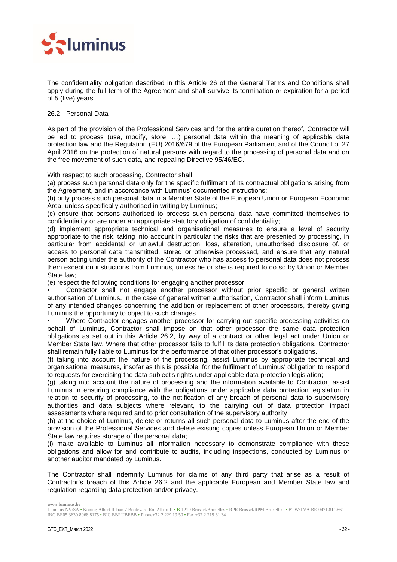

The confidentiality obligation described in this Article [26](#page-30-3) of the General Terms and Conditions shall apply during the full term of the Agreement and shall survive its termination or expiration for a period of 5 (five) years.

## 26.2 Personal Data

As part of the provision of the Professional Services and for the entire duration thereof, Contractor will be led to process (use, modify, store, …) personal data within the meaning of applicable data protection law and the Regulation (EU) 2016/679 of the European Parliament and of the Council of 27 April 2016 on the protection of natural persons with regard to the processing of personal data and on the free movement of such data, and repealing Directive 95/46/EC.

With respect to such processing, Contractor shall:

(a) process such personal data only for the specific fulfilment of its contractual obligations arising from the Agreement, and in accordance with Luminus' documented instructions;

(b) only process such personal data in a Member State of the European Union or European Economic Area, unless specifically authorised in writing by Luminus;

(c) ensure that persons authorised to process such personal data have committed themselves to confidentiality or are under an appropriate statutory obligation of confidentiality;

(d) implement appropriate technical and organisational measures to ensure a level of security appropriate to the risk, taking into account in particular the risks that are presented by processing, in particular from accidental or unlawful destruction, loss, alteration, unauthorised disclosure of, or access to personal data transmitted, stored or otherwise processed, and ensure that any natural person acting under the authority of the Contractor who has access to personal data does not process them except on instructions from Luminus, unless he or she is required to do so by Union or Member State law;

(e) respect the following conditions for engaging another processor:

• Contractor shall not engage another processor without prior specific or general written authorisation of Luminus. In the case of general written authorisation, Contractor shall inform Luminus of any intended changes concerning the addition or replacement of other processors, thereby giving Luminus the opportunity to object to such changes.

Where Contractor engages another processor for carrying out specific processing activities on behalf of Luminus, Contractor shall impose on that other processor the same data protection obligations as set out in this Article 26.2, by way of a contract or other legal act under Union or Member State law. Where that other processor fails to fulfil its data protection obligations, Contractor shall remain fully liable to Luminus for the performance of that other processor's obligations.

(f) taking into account the nature of the processing, assist Luminus by appropriate technical and organisational measures, insofar as this is possible, for the fulfilment of Luminus' obligation to respond to requests for exercising the data subject's rights under applicable data protection legislation;

(g) taking into account the nature of processing and the information available to Contractor, assist Luminus in ensuring compliance with the obligations under applicable data protection legislation in relation to security of processing, to the notification of any breach of personal data to supervisory authorities and data subjects where relevant, to the carrying out of data protection impact assessments where required and to prior consultation of the supervisory authority;

(h) at the choice of Luminus, delete or returns all such personal data to Luminus after the end of the provision of the Professional Services and delete existing copies unless European Union or Member State law requires storage of the personal data;

(i) make available to Luminus all information necessary to demonstrate compliance with these obligations and allow for and contribute to audits, including inspections, conducted by Luminus or another auditor mandated by Luminus.

The Contractor shall indemnify Luminus for claims of any third party that arise as a result of Contractor's breach of this Article 26.2 and the applicable European and Member State law and regulation regarding data protection and/or privacy.

Luminus NV/SA • Koning Albert II laan 7 Boulevard Roi Albert II • B-1210 Brussel/Bruxelles • RPR Brussel/RPM Bruxelles • BTW/TVA BE-0471.811.661 ING BE05 3630 8068 8175 • BIC BBRUBEBB • Phone+32 2 229 19 50 • Fax +32 2 219 61 34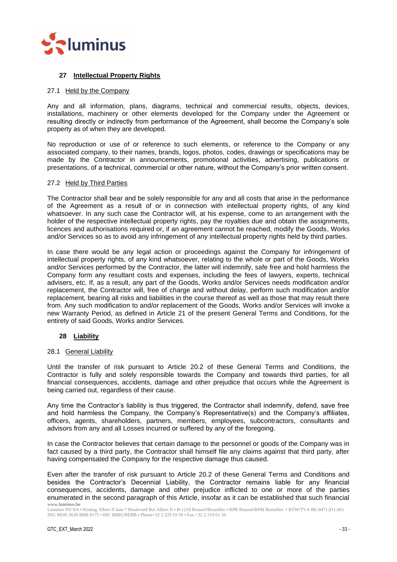

## <span id="page-32-0"></span>**27 Intellectual Property Rights**

## <span id="page-32-1"></span>27.1 Held by the Company

Any and all information, plans, diagrams, technical and commercial results, objects, devices, installations, machinery or other elements developed for the Company under the Agreement or resulting directly or indirectly from performance of the Agreement, shall become the Company's sole property as of when they are developed.

No reproduction or use of or reference to such elements, or reference to the Company or any associated company, to their names, brands, logos, photos, codes, drawings or specifications may be made by the Contractor in announcements, promotional activities, advertising, publications or presentations, of a technical, commercial or other nature, without the Company's prior written consent.

#### <span id="page-32-2"></span>27.2 Held by Third Parties

The Contractor shall bear and be solely responsible for any and all costs that arise in the performance of the Agreement as a result of or in connection with intellectual property rights, of any kind whatsoever. In any such case the Contractor will, at his expense, come to an arrangement with the holder of the respective intellectual property rights, pay the royalties due and obtain the assignments, licences and authorisations required or, if an agreement cannot be reached, modify the Goods, Works and/or Services so as to avoid any infringement of any intellectual property rights held by third parties.

In case there would be any legal action or proceedings against the Company for infringement of intellectual property rights, of any kind whatsoever, relating to the whole or part of the Goods, Works and/or Services performed by the Contractor, the latter will indemnify, safe free and hold harmless the Company form any resultant costs and expenses, including the fees of lawyers, experts, technical advisers, etc. If, as a result, any part of the Goods, Works and/or Services needs modification and/or replacement, the Contractor will, free of charge and without delay, perform such modification and/or replacement, bearing all risks and liabilities in the course thereof as well as those that may result there from. Any such modification to and/or replacement of the Goods, Works and/or Services will invoke a new Warranty Period, as defined in Article [21](#page-27-3) of the present General Terms and Conditions, for the entirety of said Goods, Works and/or Services.

## <span id="page-32-3"></span>**28 Liability**

#### <span id="page-32-4"></span>28.1 General Liability

Until the transfer of risk pursuant to Article [20.2](#page-27-2) of these General Terms and Conditions, the Contractor is fully and solely responsible towards the Company and towards third parties, for all financial consequences, accidents, damage and other prejudice that occurs while the Agreement is being carried out, regardless of their cause.

Any time the Contractor's liability is thus triggered, the Contractor shall indemnify, defend, save free and hold harmless the Company, the Company's Representative(s) and the Company's affiliates, officers, agents, shareholders, partners, members, employees, subcontractors, consultants and advisors from any and all Losses incurred or suffered by any of the foregoing.

In case the Contractor believes that certain damage to the personnel or goods of the Company was in fact caused by a third party, the Contractor shall himself file any claims against that third party, after having compensated the Company for the respective damage thus caused.

**www.luminus.be** Even after the transfer of risk pursuant to Article [20.2](#page-27-2) of these General Terms and Conditions and besides the Contractor's Decennial Liability, the Contractor remains liable for any financial consequences, accidents, damage and other prejudice inflicted to one or more of the parties enumerated in the second paragraph of this Article, insofar as it can be established that such financial

Luminus NV/SA • Koning Albert II laan 7 Boulevard Roi Albert II • B-1210 Brussel/Bruxelles • RPR Brussel/RPM Bruxelles • BTW/TVA BE-0471.811.661 ING BE05 3630 8068 8175 • BIC BBRUBEBB • Phone+32 2 229 19 50 • Fax +32 2 219 61 34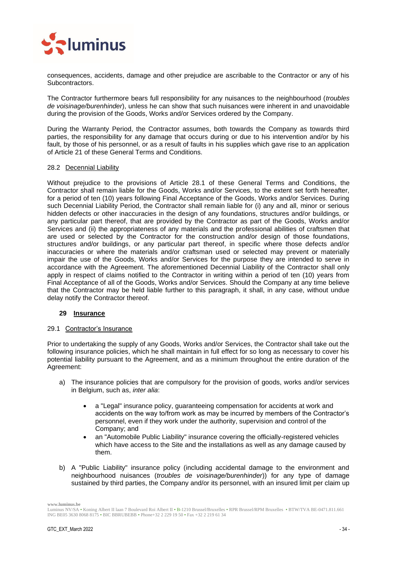

consequences, accidents, damage and other prejudice are ascribable to the Contractor or any of his Subcontractors.

The Contractor furthermore bears full responsibility for any nuisances to the neighbourhood (*troubles de voisinage/burenhinder*), unless he can show that such nuisances were inherent in and unavoidable during the provision of the Goods, Works and/or Services ordered by the Company.

During the Warranty Period, the Contractor assumes, both towards the Company as towards third parties, the responsibility for any damage that occurs during or due to his intervention and/or by his fault, by those of his personnel, or as a result of faults in his supplies which gave rise to an application of Article [21](#page-27-3) of these General Terms and Conditions.

#### <span id="page-33-0"></span>28.2 Decennial Liability

Without prejudice to the provisions of Article [28.1](#page-32-4) of these General Terms and Conditions, the Contractor shall remain liable for the Goods, Works and/or Services, to the extent set forth hereafter, for a period of ten (10) years following Final Acceptance of the Goods, Works and/or Services. During such Decennial Liability Period, the Contractor shall remain liable for (i) any and all, minor or serious hidden defects or other inaccuracies in the design of any foundations, structures and/or buildings, or any particular part thereof, that are provided by the Contractor as part of the Goods, Works and/or Services and (ii) the appropriateness of any materials and the professional abilities of craftsmen that are used or selected by the Contractor for the construction and/or design of those foundations, structures and/or buildings, or any particular part thereof, in specific where those defects and/or inaccuracies or where the materials and/or craftsman used or selected may prevent or materially impair the use of the Goods, Works and/or Services for the purpose they are intended to serve in accordance with the Agreement. The aforementioned Decennial Liability of the Contractor shall only apply in respect of claims notified to the Contractor in writing within a period of ten (10) years from Final Acceptance of all of the Goods, Works and/or Services. Should the Company at any time believe that the Contractor may be held liable further to this paragraph, it shall, in any case, without undue delay notify the Contractor thereof.

## <span id="page-33-1"></span>**29 Insurance**

#### <span id="page-33-2"></span>29.1 Contractor's Insurance

Prior to undertaking the supply of any Goods, Works and/or Services, the Contractor shall take out the following insurance policies, which he shall maintain in full effect for so long as necessary to cover his potential liability pursuant to the Agreement, and as a minimum throughout the entire duration of the Agreement:

- a) The insurance policies that are compulsory for the provision of goods, works and/or services in Belgium, such as, *inter alia*:
	- a "Legal" insurance policy, guaranteeing compensation for accidents at work and accidents on the way to/from work as may be incurred by members of the Contractor's personnel, even if they work under the authority, supervision and control of the Company; and
	- an "Automobile Public Liability" insurance covering the officially-registered vehicles which have access to the Site and the installations as well as any damage caused by them.
- b) A "Public Liability" insurance policy (including accidental damage to the environment and neighbourhood nuisances (*troubles de voisinage/burenhinder*)) for any type of damage sustained by third parties, the Company and/or its personnel, with an insured limit per claim up

Luminus NV/SA • Koning Albert II laan 7 Boulevard Roi Albert II • B-1210 Brussel/Bruxelles • RPR Brussel/RPM Bruxelles • BTW/TVA BE-0471.811.661 ING BE05 3630 8068 8175 • BIC BBRUBEBB • Phone+32 2 229 19 50 • Fax +32 2 219 61 34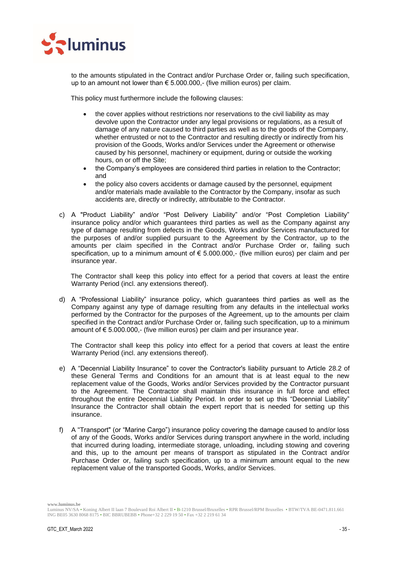

to the amounts stipulated in the Contract and/or Purchase Order or, failing such specification, up to an amount not lower than € 5.000.000,- (five million euros) per claim.

This policy must furthermore include the following clauses:

- the cover applies without restrictions nor reservations to the civil liability as may devolve upon the Contractor under any legal provisions or regulations, as a result of damage of any nature caused to third parties as well as to the goods of the Company, whether entrusted or not to the Contractor and resulting directly or indirectly from his provision of the Goods, Works and/or Services under the Agreement or otherwise caused by his personnel, machinery or equipment, during or outside the working hours, on or off the Site;
- the Company's employees are considered third parties in relation to the Contractor; and
- the policy also covers accidents or damage caused by the personnel, equipment and/or materials made available to the Contractor by the Company, insofar as such accidents are, directly or indirectly, attributable to the Contractor.
- c) A "Product Liability" and/or "Post Delivery Liability" and/or "Post Completion Liability" insurance policy and/or which guarantees third parties as well as the Company against any type of damage resulting from defects in the Goods, Works and/or Services manufactured for the purposes of and/or supplied pursuant to the Agreement by the Contractor, up to the amounts per claim specified in the Contract and/or Purchase Order or, failing such specification, up to a minimum amount of  $\epsilon$  5.000.000,- (five million euros) per claim and per insurance year.

The Contractor shall keep this policy into effect for a period that covers at least the entire Warranty Period (incl. any extensions thereof).

d) A "Professional Liability" insurance policy, which guarantees third parties as well as the Company against any type of damage resulting from any defaults in the intellectual works performed by the Contractor for the purposes of the Agreement, up to the amounts per claim specified in the Contract and/or Purchase Order or, failing such specification, up to a minimum amount of € 5.000.000,- (five million euros) per claim and per insurance year.

The Contractor shall keep this policy into effect for a period that covers at least the entire Warranty Period (incl. any extensions thereof).

- e) A "Decennial Liability Insurance" to cover the Contractor's liability pursuant to Article [28.2](#page-33-0) of these General Terms and Conditions for an amount that is at least equal to the new replacement value of the Goods, Works and/or Services provided by the Contractor pursuant to the Agreement. The Contractor shall maintain this insurance in full force and effect throughout the entire Decennial Liability Period. In order to set up this "Decennial Liability" Insurance the Contractor shall obtain the expert report that is needed for setting up this insurance.
- f) A "Transport" (or "Marine Cargo") insurance policy covering the damage caused to and/or loss of any of the Goods, Works and/or Services during transport anywhere in the world, including that incurred during loading, intermediate storage, unloading, including stowing and covering and this, up to the amount per means of transport as stipulated in the Contract and/or Purchase Order or, failing such specification, up to a minimum amount equal to the new replacement value of the transported Goods, Works, and/or Services.

Luminus NV/SA • Koning Albert II laan 7 Boulevard Roi Albert II • B-1210 Brussel/Bruxelles • RPR Brussel/RPM Bruxelles • BTW/TVA BE-0471.811.661 ING BE05 3630 8068 8175 • BIC BBRUBEBB • Phone+32 2 229 19 50 • Fax +32 2 219 61 34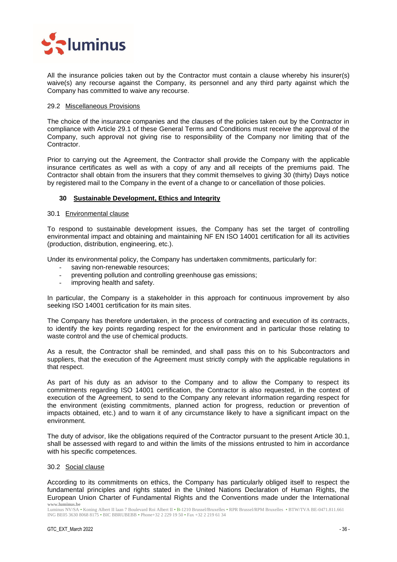

All the insurance policies taken out by the Contractor must contain a clause whereby his insurer(s) waive(s) any recourse against the Company, its personnel and any third party against which the Company has committed to waive any recourse.

## <span id="page-35-0"></span>29.2 Miscellaneous Provisions

The choice of the insurance companies and the clauses of the policies taken out by the Contractor in compliance with Article [29.1](#page-33-2) of these General Terms and Conditions must receive the approval of the Company, such approval not giving rise to responsibility of the Company nor limiting that of the Contractor.

Prior to carrying out the Agreement, the Contractor shall provide the Company with the applicable insurance certificates as well as with a copy of any and all receipts of the premiums paid. The Contractor shall obtain from the insurers that they commit themselves to giving 30 (thirty) Days notice by registered mail to the Company in the event of a change to or cancellation of those policies.

## <span id="page-35-1"></span>**30 Sustainable Development, Ethics and Integrity**

## <span id="page-35-2"></span>30.1 Environmental clause

To respond to sustainable development issues, the Company has set the target of controlling environmental impact and obtaining and maintaining NF EN ISO 14001 certification for all its activities (production, distribution, engineering, etc.).

Under its environmental policy, the Company has undertaken commitments, particularly for:

- saving non-renewable resources;
- preventing pollution and controlling greenhouse gas emissions;
- improving health and safety.

In particular, the Company is a stakeholder in this approach for continuous improvement by also seeking ISO 14001 certification for its main sites.

The Company has therefore undertaken, in the process of contracting and execution of its contracts, to identify the key points regarding respect for the environment and in particular those relating to waste control and the use of chemical products.

As a result, the Contractor shall be reminded, and shall pass this on to his Subcontractors and suppliers, that the execution of the Agreement must strictly comply with the applicable regulations in that respect.

As part of his duty as an advisor to the Company and to allow the Company to respect its commitments regarding ISO 14001 certification, the Contractor is also requested, in the context of execution of the Agreement, to send to the Company any relevant information regarding respect for the environment (existing commitments, planned action for progress, reduction or prevention of impacts obtained, etc.) and to warn it of any circumstance likely to have a significant impact on the environment.

The duty of advisor, like the obligations required of the Contractor pursuant to the present Article 30.1, shall be assessed with regard to and within the limits of the missions entrusted to him in accordance with his specific competences.

#### <span id="page-35-3"></span>30.2 Social clause

**www.luminus.be** According to its commitments on ethics, the Company has particularly obliged itself to respect the fundamental principles and rights stated in the United Nations Declaration of Human Rights, the European Union Charter of Fundamental Rights and the Conventions made under the International

Luminus NV/SA • Koning Albert II laan 7 Boulevard Roi Albert II • B-1210 Brussel/Bruxelles • RPR Brussel/RPM Bruxelles • BTW/TVA BE-0471.811.661 ING BE05 3630 8068 8175 • BIC BBRUBEBB • Phone+32 2 229 19 50 • Fax +32 2 219 61 34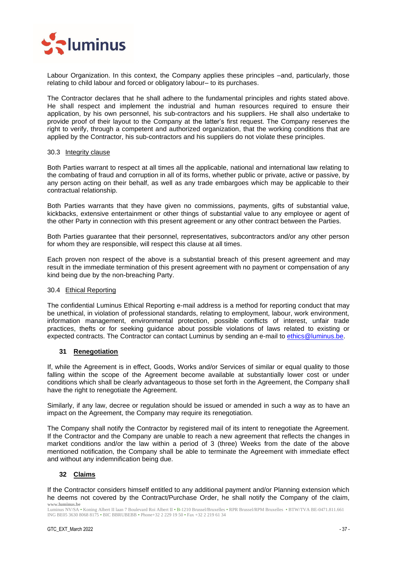

Labour Organization. In this context, the Company applies these principles –and, particularly, those relating to child labour and forced or obligatory labour– to its purchases.

The Contractor declares that he shall adhere to the fundamental principles and rights stated above. He shall respect and implement the industrial and human resources required to ensure their application, by his own personnel, his sub-contractors and his suppliers. He shall also undertake to provide proof of their layout to the Company at the latter's first request. The Company reserves the right to verify, through a competent and authorized organization, that the working conditions that are applied by the Contractor, his sub-contractors and his suppliers do not violate these principles.

#### <span id="page-36-0"></span>30.3 Integrity clause

Both Parties warrant to respect at all times all the applicable, national and international law relating to the combating of fraud and corruption in all of its forms, whether public or private, active or passive, by any person acting on their behalf, as well as any trade embargoes which may be applicable to their contractual relationship.

Both Parties warrants that they have given no commissions, payments, gifts of substantial value, kickbacks, extensive entertainment or other things of substantial value to any employee or agent of the other Party in connection with this present agreement or any other contract between the Parties.

Both Parties guarantee that their personnel, representatives, subcontractors and/or any other person for whom they are responsible, will respect this clause at all times.

Each proven non respect of the above is a substantial breach of this present agreement and may result in the immediate termination of this present agreement with no payment or compensation of any kind being due by the non-breaching Party.

## <span id="page-36-1"></span>30.4 Ethical Reporting

The confidential Luminus Ethical Reporting e-mail address is a method for reporting conduct that may be unethical, in violation of professional standards, relating to employment, labour, work environment, information management, environmental protection, possible conflicts of interest, unfair trade practices, thefts or for seeking guidance about possible violations of laws related to existing or expected contracts. The Contractor can contact Luminus by sending an e-mail to [ethics@luminus.be.](mailto:ethics@luminus.be)

## <span id="page-36-2"></span>**31 Renegotiation**

If, while the Agreement is in effect, Goods, Works and/or Services of similar or equal quality to those falling within the scope of the Agreement become available at substantially lower cost or under conditions which shall be clearly advantageous to those set forth in the Agreement, the Company shall have the right to renegotiate the Agreement.

Similarly, if any law, decree or regulation should be issued or amended in such a way as to have an impact on the Agreement, the Company may require its renegotiation.

The Company shall notify the Contractor by registered mail of its intent to renegotiate the Agreement. If the Contractor and the Company are unable to reach a new agreement that reflects the changes in market conditions and/or the law within a period of 3 (three) Weeks from the date of the above mentioned notification, the Company shall be able to terminate the Agreement with immediate effect and without any indemnification being due.

## <span id="page-36-3"></span>**32 Claims**

**www.luminus.be** If the Contractor considers himself entitled to any additional payment and/or Planning extension which he deems not covered by the Contract/Purchase Order, he shall notify the Company of the claim,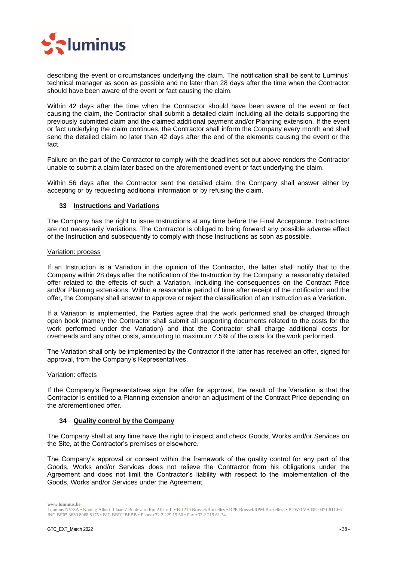

describing the event or circumstances underlying the claim. The notification shall be sent to Luminus' technical manager as soon as possible and no later than 28 days after the time when the Contractor should have been aware of the event or fact causing the claim.

Within 42 days after the time when the Contractor should have been aware of the event or fact causing the claim, the Contractor shall submit a detailed claim including all the details supporting the previously submitted claim and the claimed additional payment and/or Planning extension. If the event or fact underlying the claim continues, the Contractor shall inform the Company every month and shall send the detailed claim no later than 42 days after the end of the elements causing the event or the fact.

Failure on the part of the Contractor to comply with the deadlines set out above renders the Contractor unable to submit a claim later based on the aforementioned event or fact underlying the claim.

Within 56 days after the Contractor sent the detailed claim, the Company shall answer either by accepting or by requesting additional information or by refusing the claim.

## <span id="page-37-0"></span>**33 Instructions and Variations**

The Company has the right to issue Instructions at any time before the Final Acceptance. Instructions are not necessarily Variations. The Contractor is obliged to bring forward any possible adverse effect of the Instruction and subsequently to comply with those Instructions as soon as possible.

## Variation: process

If an Instruction is a Variation in the opinion of the Contractor, the latter shall notify that to the Company within 28 days after the notification of the Instruction by the Company, a reasonably detailed offer related to the effects of such a Variation, including the consequences on the Contract Price and/or Planning extensions. Within a reasonable period of time after receipt of the notification and the offer, the Company shall answer to approve or reject the classification of an Instruction as a Variation.

If a Variation is implemented, the Parties agree that the work performed shall be charged through open book (namely the Contractor shall submit all supporting documents related to the costs for the work performed under the Variation) and that the Contractor shall charge additional costs for overheads and any other costs, amounting to maximum 7.5% of the costs for the work performed.

The Variation shall only be implemented by the Contractor if the latter has received an offer, signed for approval, from the Company's Representatives.

## Variation: effects

If the Company's Representatives sign the offer for approval, the result of the Variation is that the Contractor is entitled to a Planning extension and/or an adjustment of the Contract Price depending on the aforementioned offer.

## <span id="page-37-1"></span>**34 Quality control by the Company**

The Company shall at any time have the right to inspect and check Goods, Works and/or Services on the Site, at the Contractor's premises or elsewhere.

The Company's approval or consent within the framework of the quality control for any part of the Goods, Works and/or Services does not relieve the Contractor from his obligations under the Agreement and does not limit the Contractor's liability with respect to the implementation of the Goods, Works and/or Services under the Agreement.

Luminus NV/SA • Koning Albert II laan 7 Boulevard Roi Albert II • B-1210 Brussel/Bruxelles • RPR Brussel/RPM Bruxelles • BTW/TVA BE-0471.811.661 ING BE05 3630 8068 8175 • BIC BBRUBEBB • Phone+32 2 229 19 50 • Fax +32 2 219 61 34